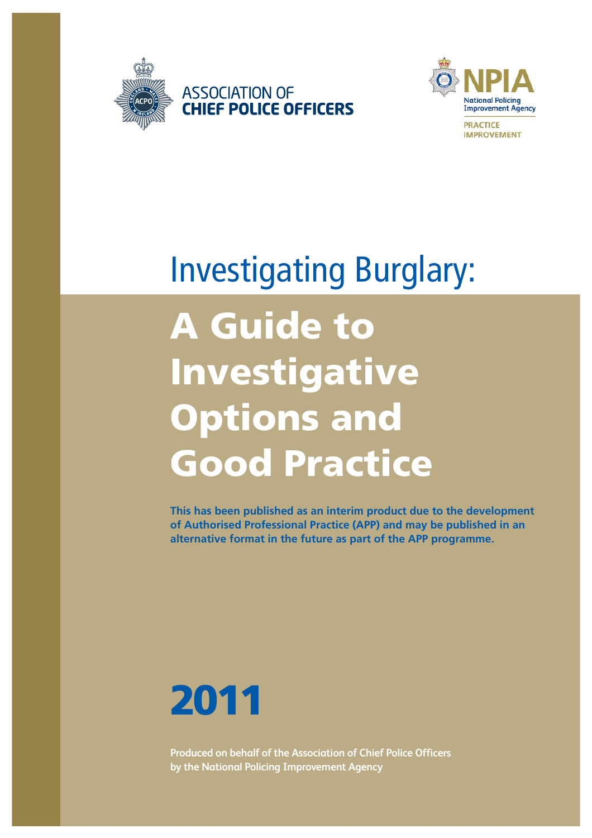



# Investigating Burglary: A Guide to Investigative Options and Good Practice

**This has been published as an interim product due to the development of Authorised Professional Practice (APP) and may be published in an alternative format in the future as part of the APP programme.**



**Produced on behalf of the Association of Chief Police Officers by the National Policing Improvement Agency**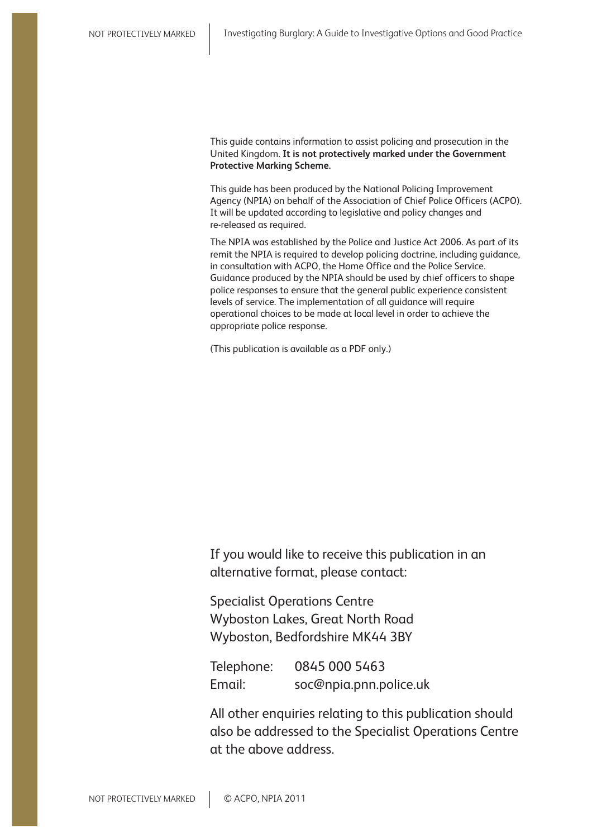This guide contains information to assist policing and prosecution in the United Kingdom. **It is not protectively marked under the Government Protective Marking Scheme.**

This guide has been produced by the National Policing Improvement Agency (NPIA) on behalf of the Association of Chief Police Officers (ACPO). It will be updated according to legislative and policy changes and re-released as required.

The NPIA was established by the Police and Justice Act 2006. As part of its remit the NPIA is required to develop policing doctrine, including guidance, in consultation with ACPO, the Home Office and the Police Service. Guidance produced by the NPIA should be used by chief officers to shape police responses to ensure that the general public experience consistent levels of service. The implementation of all guidance will require operational choices to be made at local level in order to achieve the appropriate police response.

(This publication is available as a PDF only.)

If you would like to receive this publication in an alternative format, please contact:

Specialist Operations Centre Wyboston Lakes, Great North Road Wyboston, Bedfordshire MK44 3BY

Telephone: 0845 000 5463 Email: soc@npia.pnn.police.uk

All other enquiries relating to this publication should also be addressed to the Specialist Operations Centre at the above address.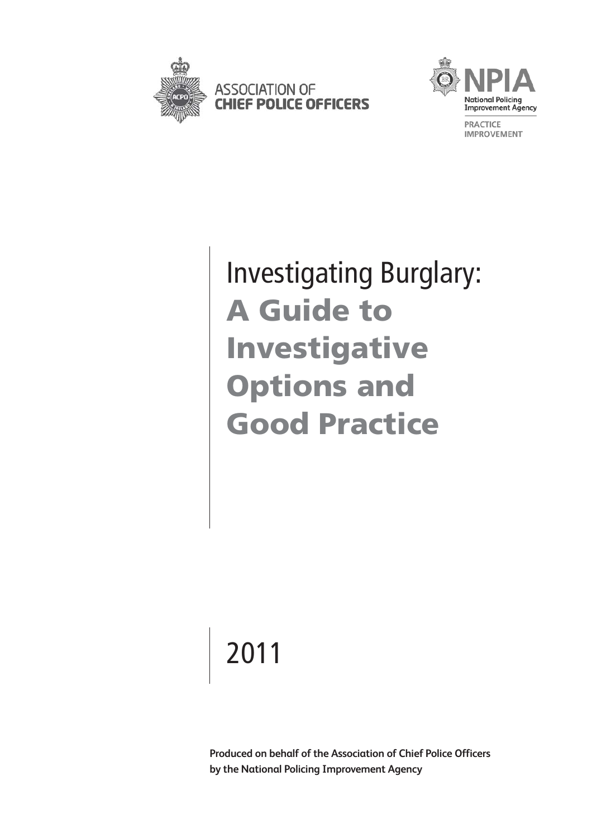

ASSOCIATION OF **CHIEF POLICE OFFICERS** 



**PRACTICE IMPROVEMENT** 

# A Guide to A Guide to Investigative Options and Good Practice

2011 2011

**Produced on behalf of the Association of Chief Police Officers by the National Policing Improvement Agency**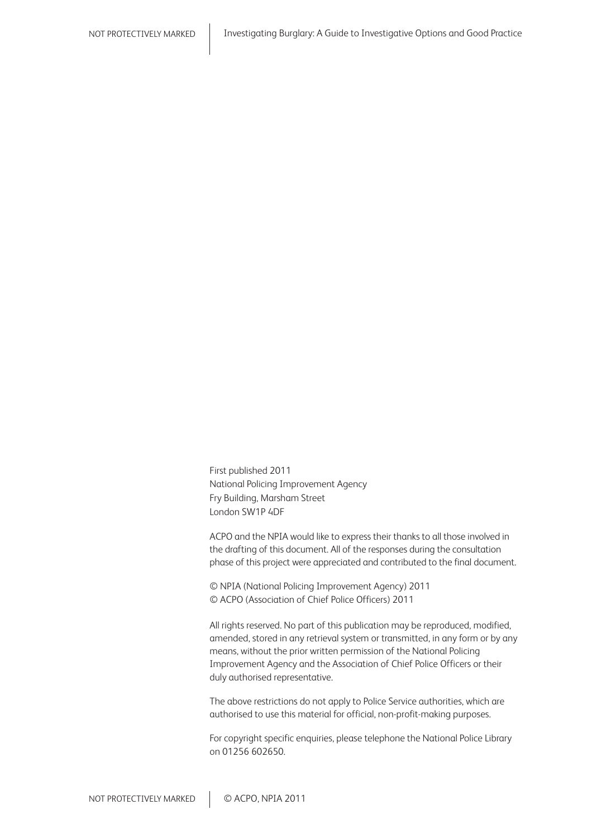First published 2011 National Policing Improvement Agency Fry Building, Marsham Street London SW1P 4DF

ACPO and the NPIA would like to express their thanks to all those involved in the drafting of this document. All of the responses during the consultation phase of this project were appreciated and contributed to the final document.

© NPIA (National Policing Improvement Agency) 2011 © ACPO (Association of Chief Police Officers) 2011

All rights reserved. No part of this publication may be reproduced, modified, amended, stored in any retrieval system or transmitted, in any form or by any means, without the prior written permission of the National Policing Improvement Agency and the Association of Chief Police Officers or their duly authorised representative.

The above restrictions do not apply to Police Service authorities, which are authorised to use this material for official, non-profit-making purposes.

For copyright specific enquiries, please telephone the National Police Library on 01256 602650.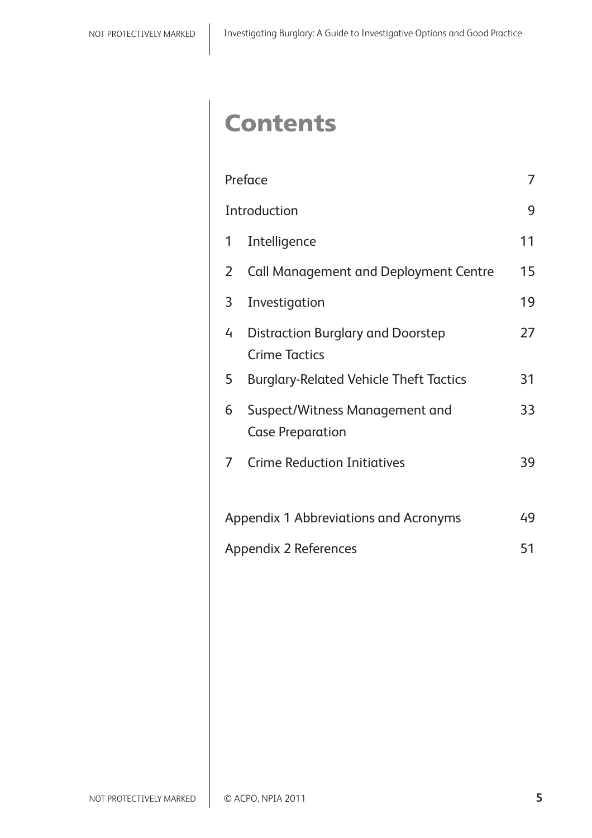# **Contents**

| Preface                                     |                                                                  | 7  |
|---------------------------------------------|------------------------------------------------------------------|----|
|                                             | Introduction                                                     | 9  |
| 1                                           | Intelligence                                                     | 11 |
| 2                                           | <b>Call Management and Deployment Centre</b>                     | 15 |
| 3                                           | Investigation                                                    | 19 |
| 4                                           | <b>Distraction Burglary and Doorstep</b><br><b>Crime Tactics</b> | 27 |
| 5                                           | <b>Burglary-Related Vehicle Theft Tactics</b>                    | 31 |
| 6                                           | Suspect/Witness Management and<br><b>Case Preparation</b>        | 33 |
| 7                                           | <b>Crime Reduction Initiatives</b>                               | 39 |
| 49<br>Appendix 1 Abbreviations and Acronyms |                                                                  |    |
| Appendix 2 References                       |                                                                  | 51 |
|                                             |                                                                  |    |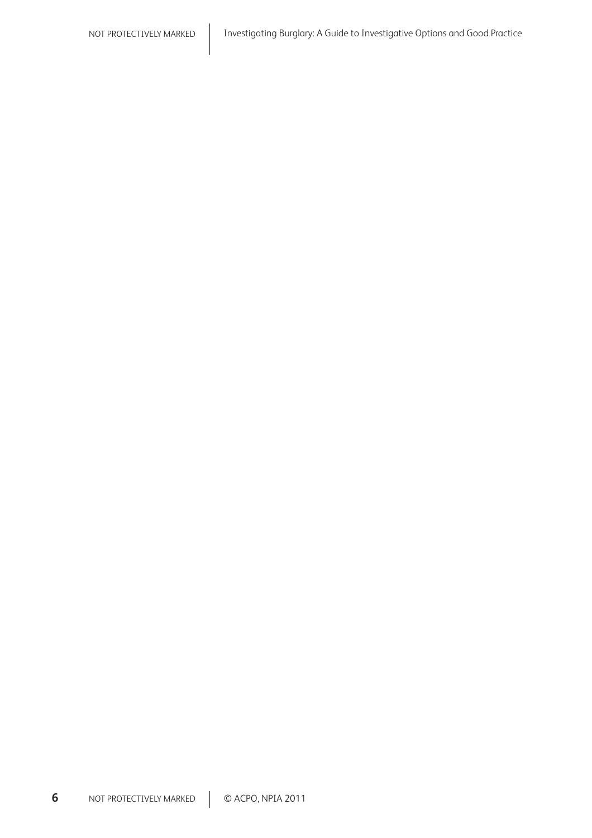NOT PROTECTIVELY MARKED © ACPO, NPIA 2011 **6**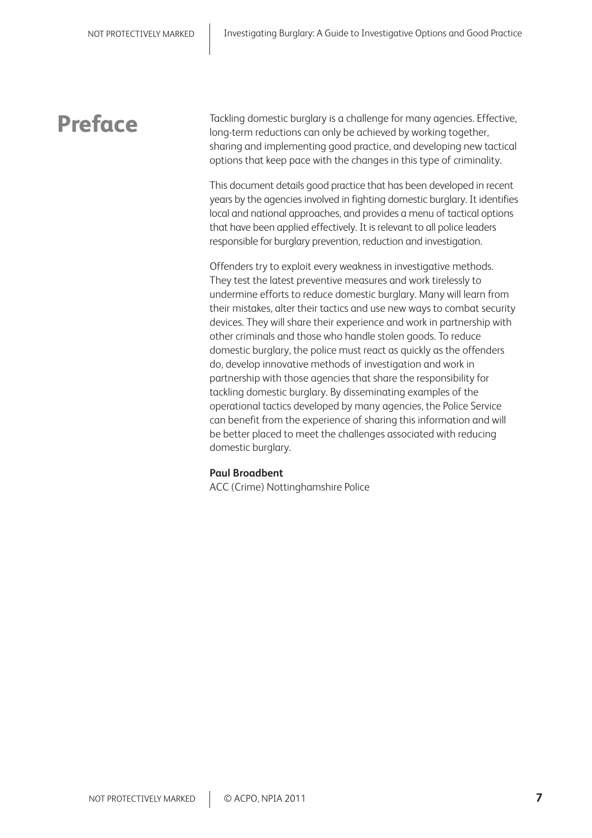<span id="page-6-0"></span>**Preface** Tackling domestic burglary is a challenge for many agencies. Effective, long-term reductions can only be achieved by working together, sharing and implementing good practice, and developing new tactical options that keep pace with the changes in this type of criminality.

> This document details good practice that has been developed in recent years by the agencies involved in fighting domestic burglary. It identifies local and national approaches, and provides a menu of tactical options that have been applied effectively. It is relevant to all police leaders responsible for burglary prevention, reduction and investigation.

> Offenders try to exploit every weakness in investigative methods. They test the latest preventive measures and work tirelessly to undermine efforts to reduce domestic burglary. Many will learn from their mistakes, alter their tactics and use new ways to combat security devices. They will share their experience and work in partnership with other criminals and those who handle stolen goods. To reduce domestic burglary, the police must react as quickly as the offenders do, develop innovative methods of investigation and work in partnership with those agencies that share the responsibility for tackling domestic burglary. By disseminating examples of the operational tactics developed by many agencies, the Police Service can benefit from the experience of sharing this information and will be better placed to meet the challenges associated with reducing domestic burglary.

#### **Paul Broadbent**

ACC (Crime) Nottinghamshire Police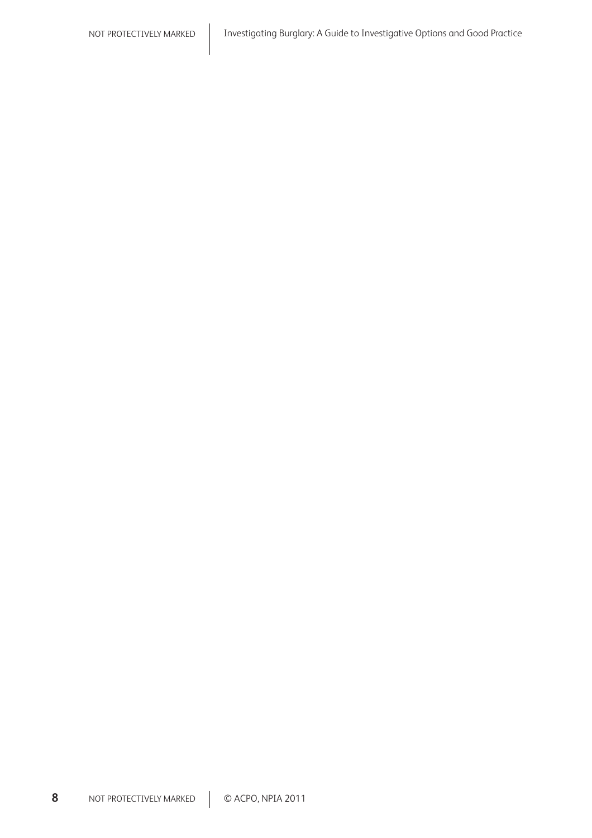**8** NOT PROTECTIVELY MARKED © ACPO, NPIA 2011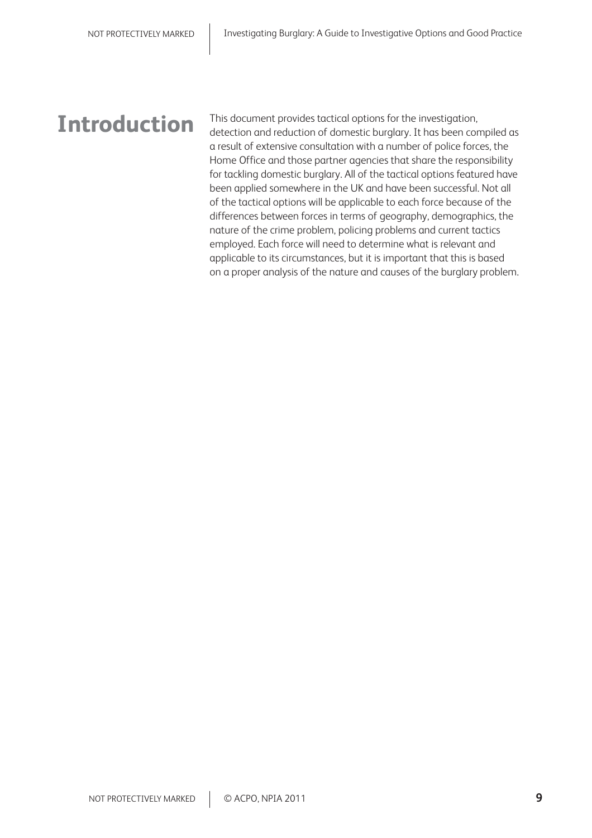# <span id="page-8-0"></span>**Introduction**

This document provides tactical options for the investigation, detection and reduction of domestic burglary. It has been compiled as a result of extensive consultation with a number of police forces, the Home Office and those partner agencies that share the responsibility for tackling domestic burglary. All of the tactical options featured have been applied somewhere in the UK and have been successful. Not all of the tactical options will be applicable to each force because of the differences between forces in terms of geography, demographics, the nature of the crime problem, policing problems and current tactics employed. Each force will need to determine what is relevant and applicable to its circumstances, but it is important that this is based on a proper analysis of the nature and causes of the burglary problem.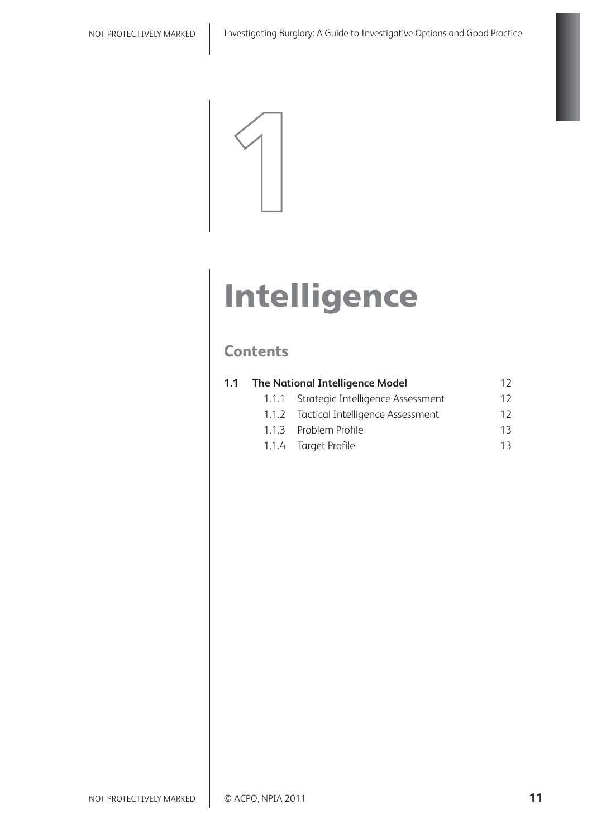<span id="page-10-0"></span>

# Intelligence

### **Contents**

| 1.1 | <b>The National Intelligence Model</b> |                                         | 12. |
|-----|----------------------------------------|-----------------------------------------|-----|
|     |                                        | 1.1.1 Strategic Intelligence Assessment | 12  |
|     |                                        | 1.1.2 Tactical Intelligence Assessment  | 12  |
|     |                                        | 1.1.3 Problem Profile                   | 13  |
|     |                                        | 1.1.4 Target Profile                    | 13. |
|     |                                        |                                         |     |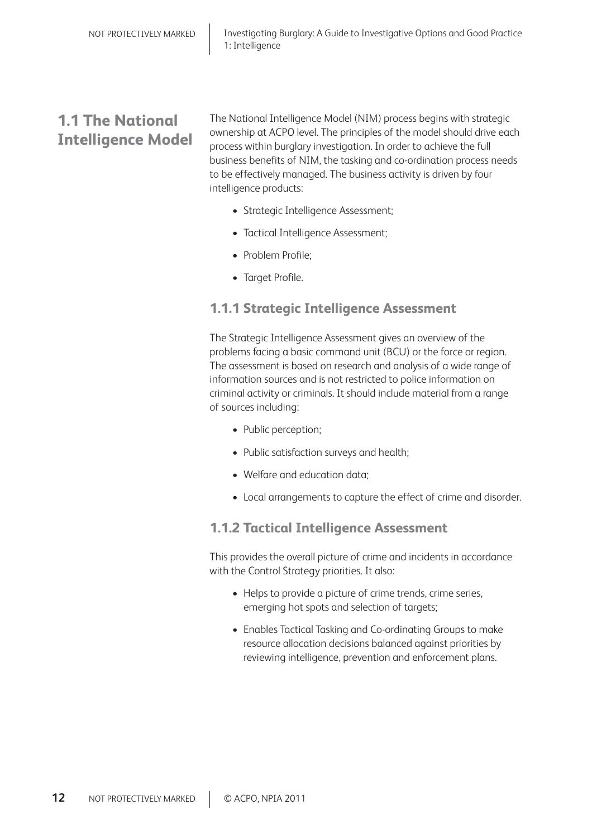# <span id="page-11-0"></span>**1.1 The National Intelligence Model**

The National Intelligence Model (NIM) process begins with strategic ownership at ACPO level. The principles of the model should drive each process within burglary investigation. In order to achieve the full business benefits of NIM, the tasking and co-ordination process needs to be effectively managed. The business activity is driven by four intelligence products:

- Strategic Intelligence Assessment;
- Tactical Intelligence Assessment;
- Problem Profile:
- Target Profile.

### **1.1.1 Strategic Intelligence Assessment**

The Strategic Intelligence Assessment gives an overview of the problems facing a basic command unit (BCU) or the force or region. The assessment is based on research and analysis of a wide range of information sources and is not restricted to police information on criminal activity or criminals. It should include material from a range of sources including:

- Public perception;
- Public satisfaction surveys and health;
- Welfare and education data:
- Local arrangements to capture the effect of crime and disorder.

### **1.1.2 Tactical Intelligence Assessment**

This provides the overall picture of crime and incidents in accordance with the Control Strategy priorities. It also:

- Helps to provide a picture of crime trends, crime series, emerging hot spots and selection of targets;
- Enables Tactical Tasking and Co-ordinating Groups to make resource allocation decisions balanced against priorities by reviewing intelligence, prevention and enforcement plans.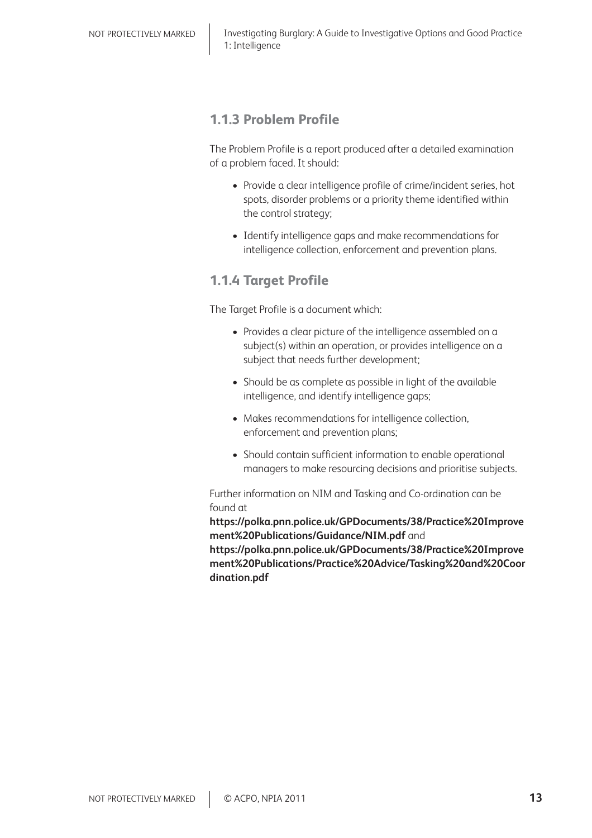### <span id="page-12-0"></span>**1.1.3 Problem Profile**

The Problem Profile is a report produced after a detailed examination of a problem faced. It should:

- Provide a clear intelligence profile of crime/incident series, hot spots, disorder problems or a priority theme identified within the control strategy;
- Identify intelligence gaps and make recommendations for intelligence collection, enforcement and prevention plans.

### **1.1.4 Target Profile**

The Target Profile is a document which:

- Provides a clear picture of the intelligence assembled on a subject(s) within an operation, or provides intelligence on a subject that needs further development;
- Should be as complete as possible in light of the available intelligence, and identify intelligence gaps;
- Makes recommendations for intelligence collection, enforcement and prevention plans;
- Should contain sufficient information to enable operational managers to make resourcing decisions and prioritise subjects.

Further information on NIM and Tasking and Co-ordination can be found at

**[https://polka.pnn.police.uk/GPDocuments/38/Practice%20Improve](https://polka.pnn.police.uk/GPDocuments/38/Practice%20Improvement%20Publications/Guidance/NIM.pdf) [ment%20Publications/Guidance/NIM.pdf](https://polka.pnn.police.uk/GPDocuments/38/Practice%20Improvement%20Publications/Guidance/NIM.pdf)** and **https://polka.pnn.police.uk/GPDocuments/38/Practice%20Improve [ment%20Publications/Practice%20Advice/Tasking%20and%20Coor](https://polka.pnn.police.uk/GPDocuments/38/Practice%20Improvement%20Publications/Practice%20Advice/Tasking%20and%20Coordination.pdf) dination.pdf**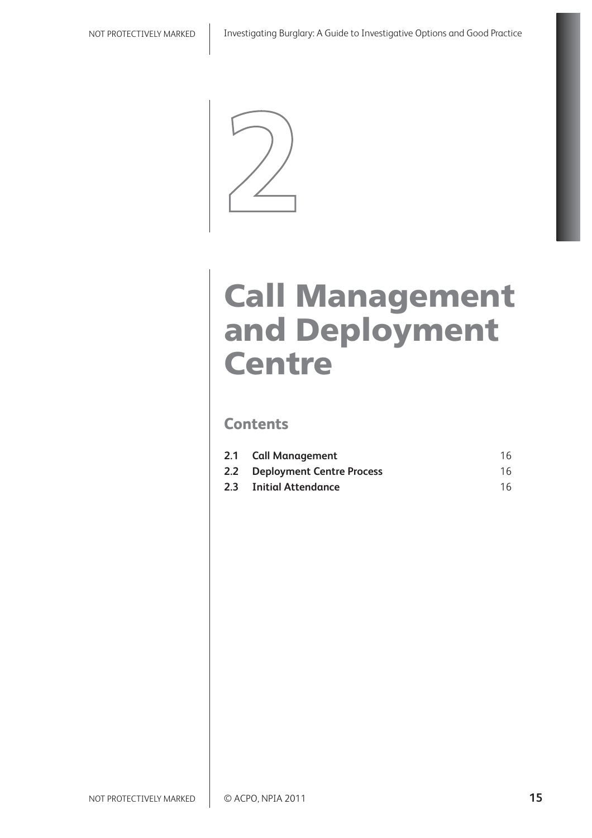<span id="page-14-0"></span>

# Call Management and Deployment **Centre**

### **Contents**

| 2.1 Call Management           | 16 |
|-------------------------------|----|
| 2.2 Deployment Centre Process | 16 |
| 2.3 Initial Attendance        | 16 |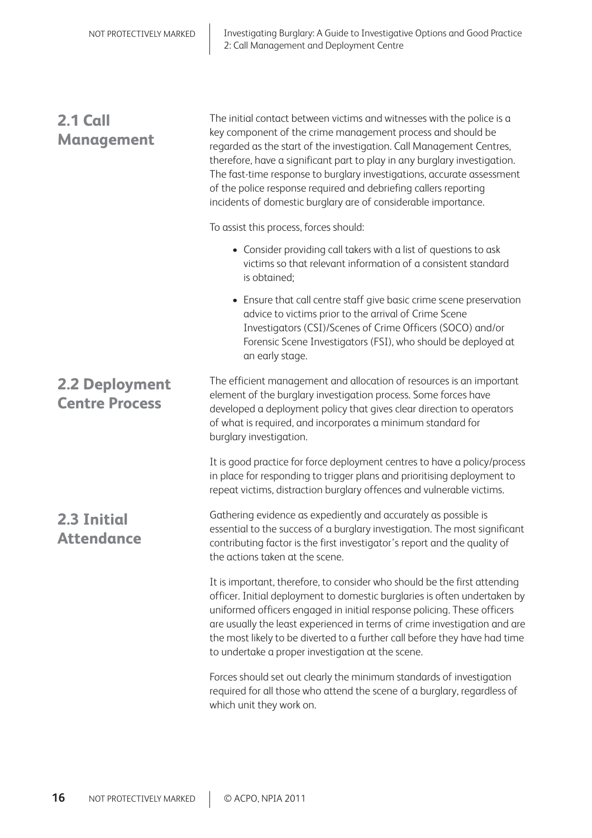<span id="page-15-0"></span>

| <b>2.1 Call</b><br><b>Management</b>           | The initial contact between victims and witnesses with the police is a<br>key component of the crime management process and should be<br>regarded as the start of the investigation. Call Management Centres,<br>therefore, have a significant part to play in any burglary investigation.<br>The fast-time response to burglary investigations, accurate assessment<br>of the police response required and debriefing callers reporting<br>incidents of domestic burglary are of considerable importance. |
|------------------------------------------------|------------------------------------------------------------------------------------------------------------------------------------------------------------------------------------------------------------------------------------------------------------------------------------------------------------------------------------------------------------------------------------------------------------------------------------------------------------------------------------------------------------|
|                                                | To assist this process, forces should:                                                                                                                                                                                                                                                                                                                                                                                                                                                                     |
|                                                | • Consider providing call takers with a list of questions to ask<br>victims so that relevant information of a consistent standard<br>is obtained;                                                                                                                                                                                                                                                                                                                                                          |
|                                                | • Ensure that call centre staff give basic crime scene preservation<br>advice to victims prior to the arrival of Crime Scene<br>Investigators (CSI)/Scenes of Crime Officers (SOCO) and/or<br>Forensic Scene Investigators (FSI), who should be deployed at<br>an early stage.                                                                                                                                                                                                                             |
| <b>2.2 Deployment</b><br><b>Centre Process</b> | The efficient management and allocation of resources is an important<br>element of the burglary investigation process. Some forces have<br>developed a deployment policy that gives clear direction to operators<br>of what is required, and incorporates a minimum standard for<br>burglary investigation.                                                                                                                                                                                                |
|                                                | It is good practice for force deployment centres to have a policy/process<br>in place for responding to trigger plans and prioritising deployment to<br>repeat victims, distraction burglary offences and vulnerable victims.                                                                                                                                                                                                                                                                              |
| 2.3 Initial<br><b>Attendance</b>               | Gathering evidence as expediently and accurately as possible is<br>essential to the success of a burglary investigation. The most significant<br>contributing factor is the first investigator's report and the quality of<br>the actions taken at the scene.                                                                                                                                                                                                                                              |
|                                                | It is important, therefore, to consider who should be the first attending<br>officer. Initial deployment to domestic burglaries is often undertaken by<br>uniformed officers engaged in initial response policing. These officers<br>are usually the least experienced in terms of crime investigation and are<br>the most likely to be diverted to a further call before they have had time<br>to undertake a proper investigation at the scene.                                                          |
|                                                | Forces should set out clearly the minimum standards of investigation<br>required for all those who attend the scene of a burglary, regardless of<br>which unit they work on.                                                                                                                                                                                                                                                                                                                               |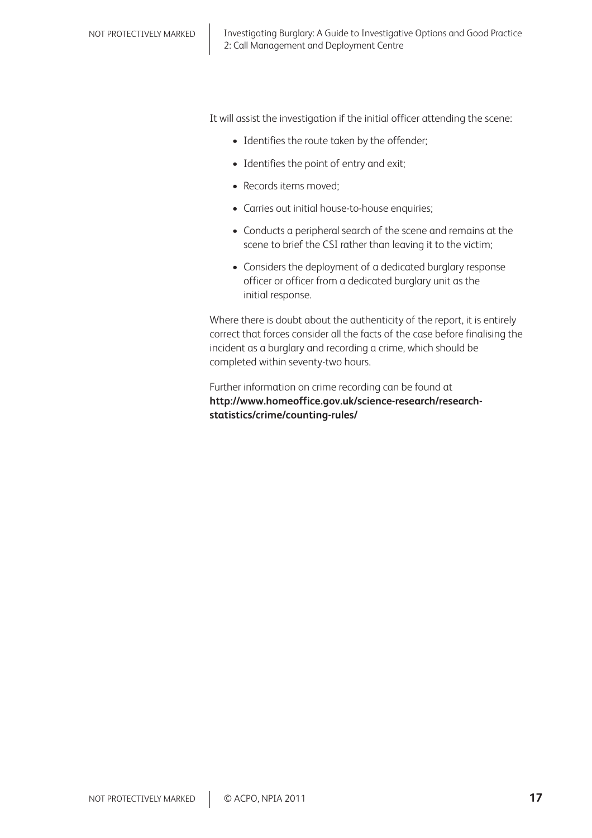It will assist the investigation if the initial officer attending the scene:

- Identifies the route taken by the offender;
- Identifies the point of entry and exit;
- Records items moved;
- Carries out initial house-to-house enquiries;
- Conducts a peripheral search of the scene and remains at the scene to brief the CSI rather than leaving it to the victim;
- Considers the deployment of a dedicated burglary response officer or officer from a dedicated burglary unit as the initial response.

Where there is doubt about the authenticity of the report, it is entirely correct that forces consider all the facts of the case before finalising the incident as a burglary and recording a crime, which should be completed within seventy-two hours.

Further information on crime recording can be found at **[http://www.homeoffice.gov.uk/science-research/research](http://www.homeoffice.gov.uk/science-research/researchstatistics/)statistics/crime/counting-rules/**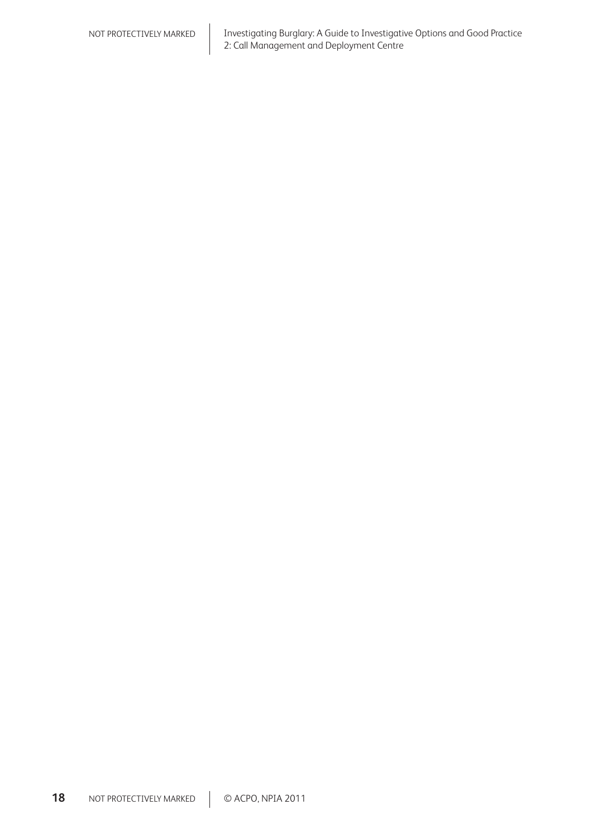**18** NOT PROTECTIVELY MARKED © ACPO, NPIA 2011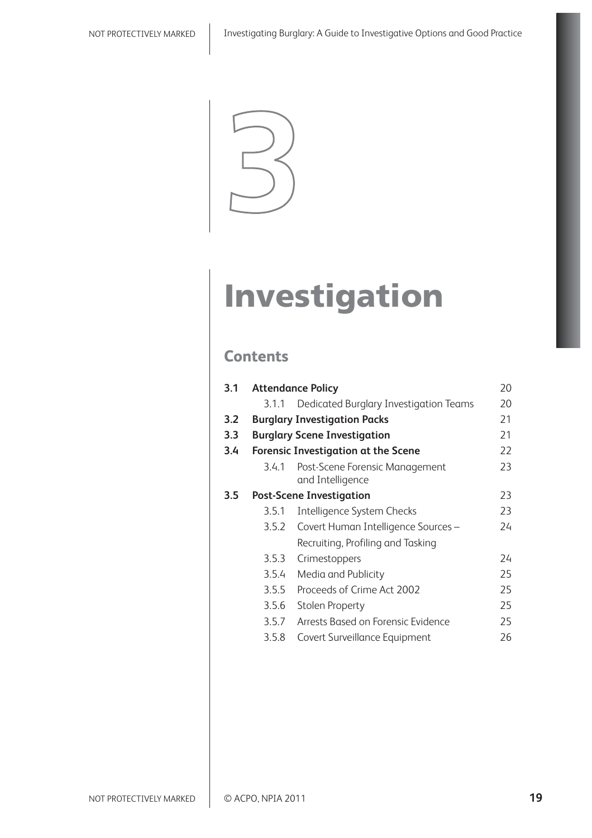<span id="page-18-0"></span>

# Investigation

### **Contents**

| 3.1              | <b>Attendance Policy</b> |                                                    | 20 |
|------------------|--------------------------|----------------------------------------------------|----|
|                  | 3.1.1                    | Dedicated Burglary Investigation Teams             | 20 |
| 3.2              |                          | <b>Burglary Investigation Packs</b>                | 21 |
| $3.3\phantom{0}$ |                          | <b>Burglary Scene Investigation</b>                | 21 |
| 3.4              |                          | <b>Forensic Investigation at the Scene</b>         | 22 |
|                  | 3.4.1                    | Post-Scene Forensic Management<br>and Intelligence | 23 |
| 3.5              |                          | <b>Post-Scene Investigation</b>                    | 23 |
|                  | 3.5.1                    | Intelligence System Checks                         | 23 |
|                  | 3.5.2                    | Covert Human Intelligence Sources -                | 24 |
|                  |                          | Recruiting, Profiling and Tasking                  |    |
|                  | 3.5.3                    | Crimestoppers                                      | 24 |
|                  | 3.5.4                    | Media and Publicity                                | 25 |
|                  | 3.5.5                    | Proceeds of Crime Act 2002                         | 25 |
|                  | 3.5.6                    | Stolen Property                                    | 25 |
|                  | 3.5.7                    | Arrests Based on Forensic Evidence                 | 25 |
|                  | 3.5.8                    | Covert Surveillance Equipment                      | 26 |
|                  |                          |                                                    |    |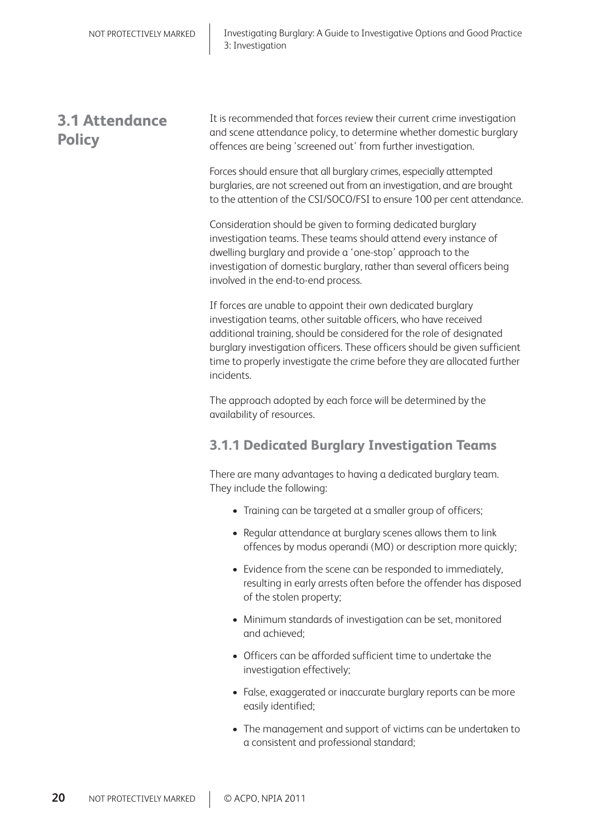### <span id="page-19-0"></span>**3.1 Attendance Policy**

It is recommended that forces review their current crime investigation and scene attendance policy, to determine whether domestic burglary offences are being 'screened out' from further investigation.

Forces should ensure that all burglary crimes, especially attempted burglaries, are not screened out from an investigation, and are brought to the attention of the CSI/SOCO/FSI to ensure 100 per cent attendance.

Consideration should be given to forming dedicated burglary investigation teams. These teams should attend every instance of dwelling burglary and provide a 'one-stop' approach to the investigation of domestic burglary, rather than several officers being involved in the end-to-end process.

If forces are unable to appoint their own dedicated burglary investigation teams, other suitable officers, who have received additional training, should be considered for the role of designated burglary investigation officers. These officers should be given sufficient time to properly investigate the crime before they are allocated further incidents.

The approach adopted by each force will be determined by the availability of resources.

### **3.1.1 Dedicated Burglary Investigation Teams**

There are many advantages to having a dedicated burglary team. They include the following:

- Training can be targeted at a smaller group of officers:
- Regular attendance at burglary scenes allows them to link offences by modus operandi (MO) or description more quickly;
- Evidence from the scene can be responded to immediately, resulting in early arrests often before the offender has disposed of the stolen property;
- Minimum standards of investigation can be set, monitored and achieved;
- Officers can be afforded sufficient time to undertake the investigation effectively;
- False, exaggerated or inaccurate burglary reports can be more easily identified;
- The management and support of victims can be undertaken to a consistent and professional standard;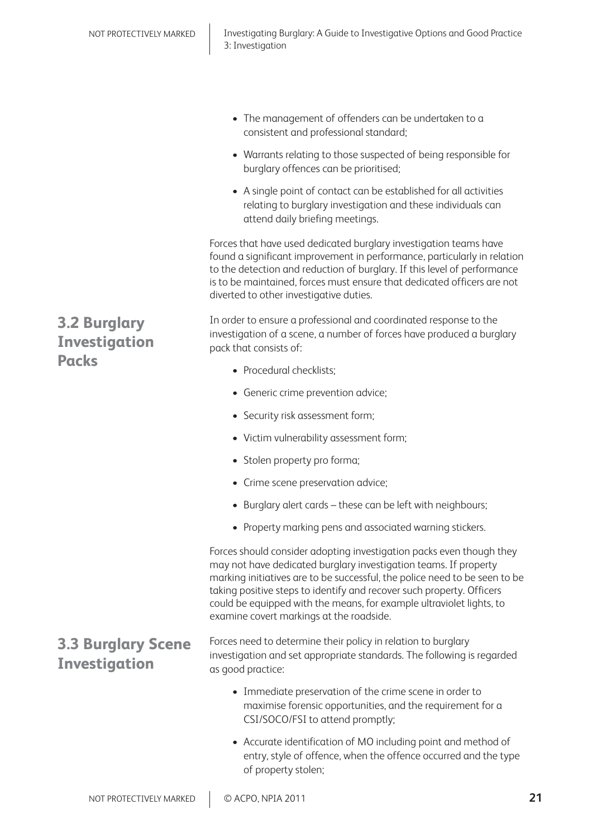- <span id="page-20-0"></span>• The management of offenders can be undertaken to a consistent and professional standard;
- Warrants relating to those suspected of being responsible for burglary offences can be prioritised;
- A single point of contact can be established for all activities relating to burglary investigation and these individuals can attend daily briefing meetings.

Forces that have used dedicated burglary investigation teams have found a significant improvement in performance, particularly in relation to the detection and reduction of burglary. If this level of performance is to be maintained, forces must ensure that dedicated officers are not diverted to other investigative duties.

In order to ensure a professional and coordinated response to the investigation of a scene, a number of forces have produced a burglary pack that consists of:

- Procedural checklists:
- Generic crime prevention advice;
- Security risk assessment form;
- Victim vulnerability assessment form;
- Stolen property pro forma;
- Crime scene preservation advice;
- Burglary alert cards these can be left with neighbours;
- Property marking pens and associated warning stickers.

Forces should consider adopting investigation packs even though they may not have dedicated burglary investigation teams. If property marking initiatives are to be successful, the police need to be seen to be taking positive steps to identify and recover such property. Officers could be equipped with the means, for example ultraviolet lights, to examine covert markings at the roadside.

Forces need to determine their policy in relation to burglary investigation and set appropriate standards. The following is regarded as good practice: **3.3 Burglary Scene Investigation**

- Immediate preservation of the crime scene in order to maximise forensic opportunities, and the requirement for a CSI/SOCO/FSI to attend promptly;
- Accurate identification of MO including point and method of entry, style of offence, when the offence occurred and the type of property stolen;

# **3.2 Burglary Investigation Packs**

### NOT PROTECTIVELY MARKED © ACPO, NPIA 2011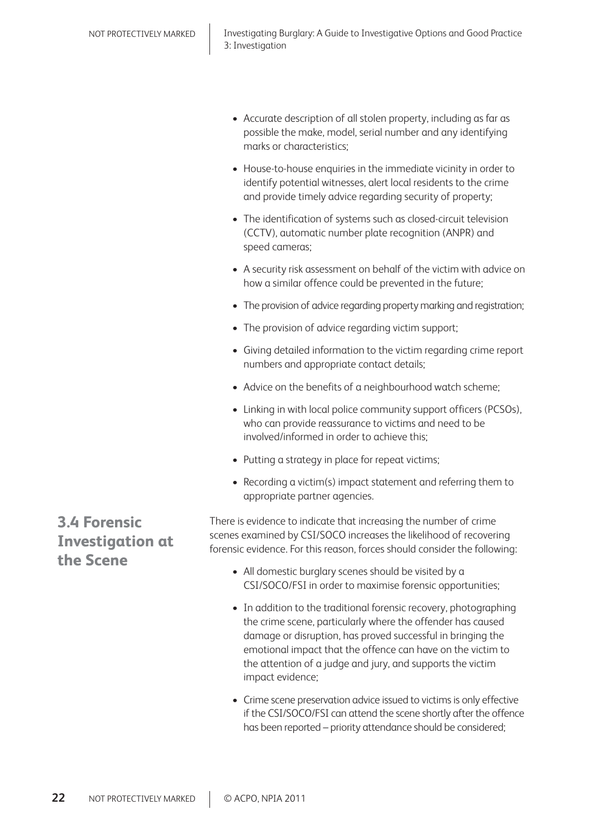- <span id="page-21-0"></span>• Accurate description of all stolen property, including as far as possible the make, model, serial number and any identifying marks or characteristics;
- House-to-house enquiries in the immediate vicinity in order to identify potential witnesses, alert local residents to the crime and provide timely advice regarding security of property;
- The identification of systems such as closed-circuit television (CCTV), automatic number plate recognition (ANPR) and speed cameras;
- A security risk assessment on behalf of the victim with advice on how a similar offence could be prevented in the future;
- The provision of advice regarding property marking and registration;
- The provision of advice regarding victim support;
- Giving detailed information to the victim regarding crime report numbers and appropriate contact details;
- Advice on the benefits of a neighbourhood watch scheme;
- Linking in with local police community support officers (PCSOs), who can provide reassurance to victims and need to be involved/informed in order to achieve this;
- Putting a strategy in place for repeat victims;
- Recording a victim(s) impact statement and referring them to appropriate partner agencies.

There is evidence to indicate that increasing the number of crime scenes examined by CSI/SOCO increases the likelihood of recovering forensic evidence. For this reason, forces should consider the following:

- All domestic burglary scenes should be visited by a CSI/SOCO/FSI in order to maximise forensic opportunities;
- In addition to the traditional forensic recovery, photographing the crime scene, particularly where the offender has caused damage or disruption, has proved successful in bringing the emotional impact that the offence can have on the victim to the attention of a judge and jury, and supports the victim impact evidence;
- Crime scene preservation advice issued to victims is only effective if the CSI/SOCO/FSI can attend the scene shortly after the offence has been reported – priority attendance should be considered;

# **3.4 Forensic Investigation at the Scene**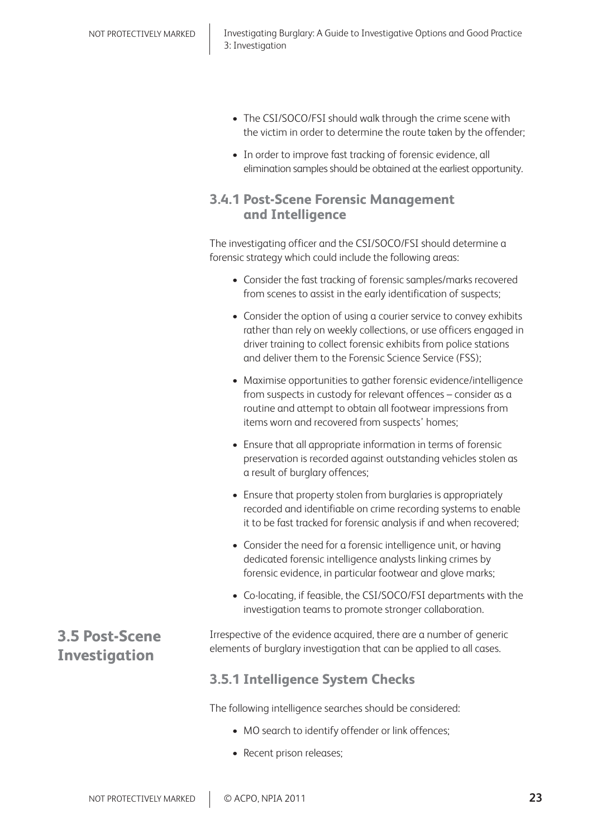- <span id="page-22-0"></span>• The CSI/SOCO/FSI should walk through the crime scene with the victim in order to determine the route taken by the offender;
- In order to improve fast tracking of forensic evidence, all elimination samples should be obtained at the earliest opportunity.

### **3.4.1 Post-Scene Forensic Management and Intelligence**

The investigating officer and the CSI/SOCO/FSI should determine a forensic strategy which could include the following areas:

- Consider the fast tracking of forensic samples/marks recovered from scenes to assist in the early identification of suspects;
- Consider the option of using a courier service to convey exhibits rather than rely on weekly collections, or use officers engaged in driver training to collect forensic exhibits from police stations and deliver them to the Forensic Science Service (FSS);
- Maximise opportunities to gather forensic evidence/intelligence from suspects in custody for relevant offences – consider as a routine and attempt to obtain all footwear impressions from items worn and recovered from suspects' homes;
- Ensure that all appropriate information in terms of forensic preservation is recorded against outstanding vehicles stolen as a result of burglary offences;
- Ensure that property stolen from burglaries is appropriately recorded and identifiable on crime recording systems to enable it to be fast tracked for forensic analysis if and when recovered;
- Consider the need for a forensic intelligence unit, or having dedicated forensic intelligence analysts linking crimes by forensic evidence, in particular footwear and glove marks;
- Co-locating, if feasible, the CSI/SOCO/FSI departments with the investigation teams to promote stronger collaboration.

### **3.5 Post-Scene Investigation**

Irrespective of the evidence acquired, there are a number of generic elements of burglary investigation that can be applied to all cases.

### **3.5.1 Intelligence System Checks**

The following intelligence searches should be considered:

- MO search to identify offender or link offences;
- Recent prison releases;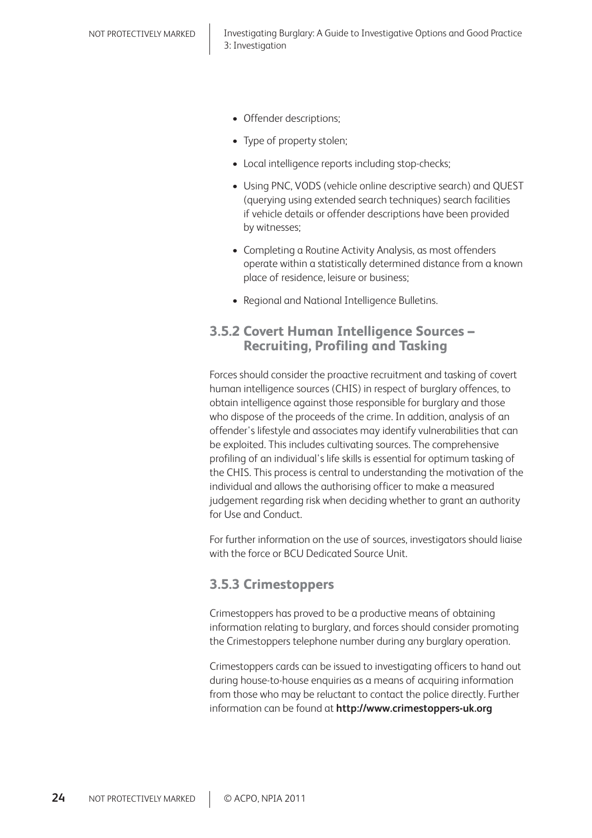- <span id="page-23-0"></span>• Offender descriptions;
- Type of property stolen;
- Local intelligence reports including stop-checks;
- Using PNC, VODS (vehicle online descriptive search) and QUEST (querying using extended search techniques) search facilities if vehicle details or offender descriptions have been provided by witnesses;
- Completing a Routine Activity Analysis, as most offenders operate within a statistically determined distance from a known place of residence, leisure or business;
- Regional and National Intelligence Bulletins.

### **3.5.2 Covert Human Intelligence Sources – Recruiting, Profiling and Tasking**

Forces should consider the proactive recruitment and tasking of covert human intelligence sources (CHIS) in respect of burglary offences, to obtain intelligence against those responsible for burglary and those who dispose of the proceeds of the crime. In addition, analysis of an offender's lifestyle and associates may identify vulnerabilities that can be exploited. This includes cultivating sources. The comprehensive profiling of an individual's life skills is essential for optimum tasking of the CHIS. This process is central to understanding the motivation of the individual and allows the authorising officer to make a measured judgement regarding risk when deciding whether to grant an authority for Use and Conduct.

For further information on the use of sources, investigators should liaise with the force or BCU Dedicated Source Unit.

### **3.5.3 Crimestoppers**

Crimestoppers has proved to be a productive means of obtaining information relating to burglary, and forces should consider promoting the Crimestoppers telephone number during any burglary operation.

Crimestoppers cards can be issued to investigating officers to hand out during house-to-house enquiries as a means of acquiring information from those who may be reluctant to contact the police directly. Further information can be found at **<http://www.crimestoppers-uk.org>**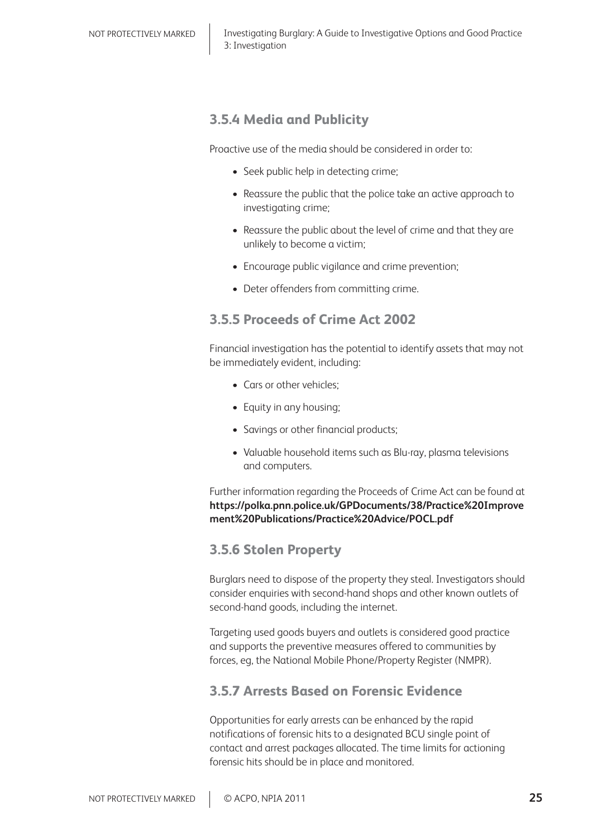### <span id="page-24-0"></span>**3.5.4 Media and Publicity**

Proactive use of the media should be considered in order to:

- Seek public help in detecting crime;
- Reassure the public that the police take an active approach to investigating crime;
- Reassure the public about the level of crime and that they are unlikely to become a victim;
- Encourage public vigilance and crime prevention;
- Deter offenders from committing crime.

### **3.5.5 Proceeds of Crime Act 2002**

Financial investigation has the potential to identify assets that may not be immediately evident, including:

- Cars or other vehicles:
- Equity in any housing;
- Savings or other financial products;
- Valuable household items such as Blu-ray, plasma televisions and computers.

Further information regarding the Proceeds of Crime Act can be found at **[https://polka.pnn.police.uk/GPDocuments/38/Practice%20Improve](https://polka.pnn.police.uk/GPDocuments/38/Practice%20Improvement%20Publications/Practice%20Advice/POCL.pdf) ment%20Publications/Practice%20Advice/POCL.pdf**

### **3.5.6 Stolen Property**

Burglars need to dispose of the property they steal. Investigators should consider enquiries with second-hand shops and other known outlets of second-hand goods, including the internet.

Targeting used goods buyers and outlets is considered good practice and supports the preventive measures offered to communities by forces, eg, the National Mobile Phone/Property Register (NMPR).

### **3.5.7 Arrests Based on Forensic Evidence**

Opportunities for early arrests can be enhanced by the rapid notifications of forensic hits to a designated BCU single point of contact and arrest packages allocated. The time limits for actioning forensic hits should be in place and monitored.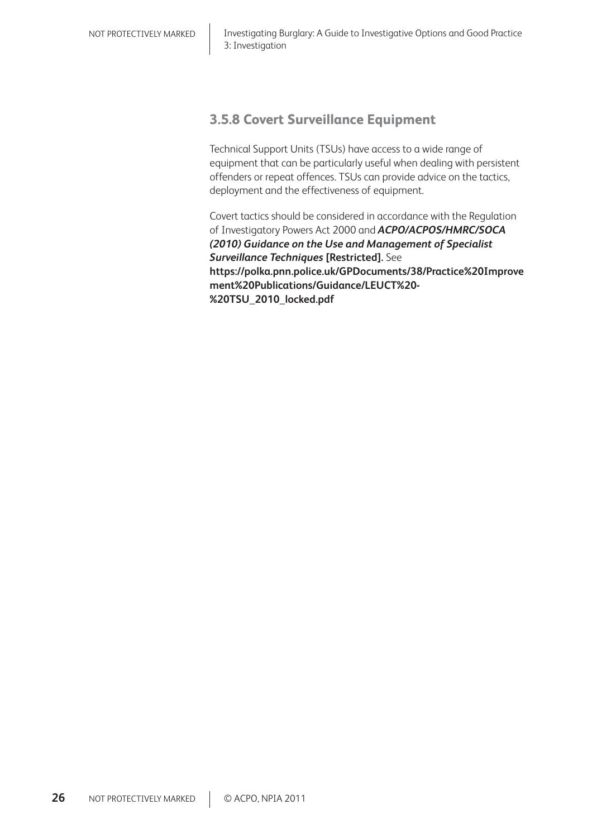### <span id="page-25-0"></span>**3.5.8 Covert Surveillance Equipment**

Technical Support Units (TSUs) have access to a wide range of equipment that can be particularly useful when dealing with persistent offenders or repeat offences. TSUs can provide advice on the tactics, deployment and the effectiveness of equipment.

Covert tactics should be considered in accordance with the Regulation of Investigatory Powers Act 2000 and *ACPO/ACPOS/HMRC/SOCA (2010) Guidance on the Use and Management of Specialist Surveillance Techniques* **[Restricted].** See **[https://polka.pnn.police.uk/GPDocuments/38/Practice%20Improve](https://polka.pnn.police.uk/GPDocuments/38/Practice%20Improvement%20Publications/Guidance/LEUCT%20-%20TSU_2010_locked.pdf) ment%20Publications/Guidance/LEUCT%20- %20TSU\_2010\_locked.pdf**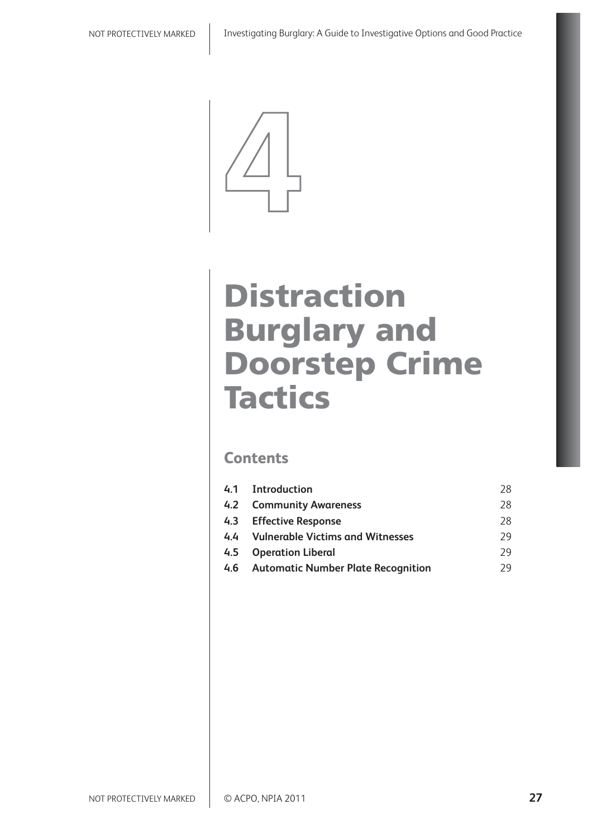<span id="page-26-0"></span>

# Distraction Burglary and Doorstep Crime **Tactics**

# **Contents**

| 4.1 Introduction                       | 28 |
|----------------------------------------|----|
| 4.2 Community Awareness                | 28 |
| 4.3 Effective Response                 | 28 |
| 4.4 Vulnerable Victims and Witnesses   | 29 |
| 4.5 Operation Liberal                  | 29 |
| 4.6 Automatic Number Plate Recognition | 29 |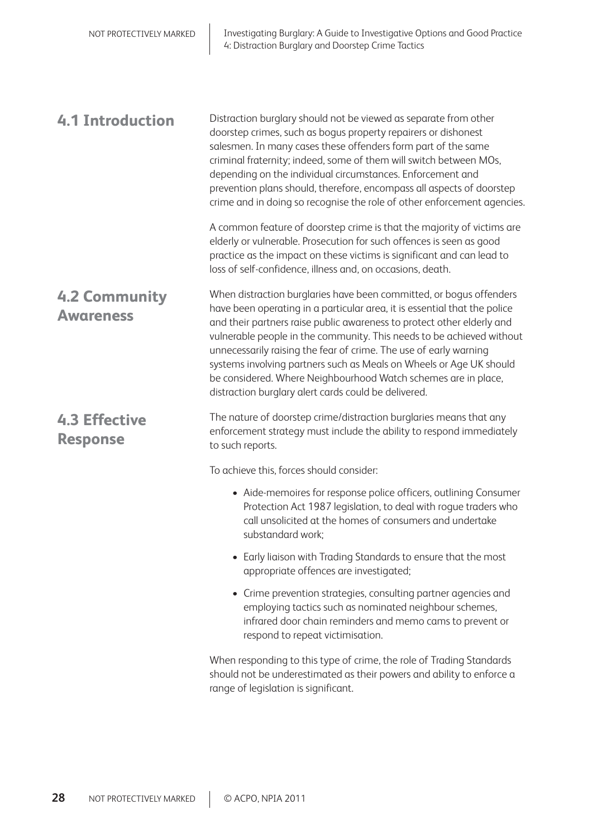<span id="page-27-0"></span>

| <b>4.1 Introduction</b>                  | Distraction burglary should not be viewed as separate from other<br>doorstep crimes, such as bogus property repairers or dishonest<br>salesmen. In many cases these offenders form part of the same<br>criminal fraternity; indeed, some of them will switch between MOs,<br>depending on the individual circumstances. Enforcement and<br>prevention plans should, therefore, encompass all aspects of doorstep<br>crime and in doing so recognise the role of other enforcement agencies.                                                                               |
|------------------------------------------|---------------------------------------------------------------------------------------------------------------------------------------------------------------------------------------------------------------------------------------------------------------------------------------------------------------------------------------------------------------------------------------------------------------------------------------------------------------------------------------------------------------------------------------------------------------------------|
|                                          | A common feature of doorstep crime is that the majority of victims are<br>elderly or vulnerable. Prosecution for such offences is seen as good<br>practice as the impact on these victims is significant and can lead to<br>loss of self-confidence, illness and, on occasions, death.                                                                                                                                                                                                                                                                                    |
| <b>4.2 Community</b><br><b>Awareness</b> | When distraction burglaries have been committed, or bogus offenders<br>have been operating in a particular area, it is essential that the police<br>and their partners raise public awareness to protect other elderly and<br>vulnerable people in the community. This needs to be achieved without<br>unnecessarily raising the fear of crime. The use of early warning<br>systems involving partners such as Meals on Wheels or Age UK should<br>be considered. Where Neighbourhood Watch schemes are in place,<br>distraction burglary alert cards could be delivered. |
| <b>4.3 Effective</b><br><b>Response</b>  | The nature of doorstep crime/distraction burglaries means that any<br>enforcement strategy must include the ability to respond immediately<br>to such reports.                                                                                                                                                                                                                                                                                                                                                                                                            |
|                                          | To achieve this, forces should consider:                                                                                                                                                                                                                                                                                                                                                                                                                                                                                                                                  |
|                                          | • Aide-memoires for response police officers, outlining Consumer<br>Protection Act 1987 legislation, to deal with rogue traders who<br>call unsolicited at the homes of consumers and undertake<br>substandard work;                                                                                                                                                                                                                                                                                                                                                      |
|                                          | • Early liaison with Trading Standards to ensure that the most<br>appropriate offences are investigated;                                                                                                                                                                                                                                                                                                                                                                                                                                                                  |
|                                          | • Crime prevention strategies, consulting partner agencies and<br>employing tactics such as nominated neighbour schemes,<br>infrared door chain reminders and memo cams to prevent or<br>respond to repeat victimisation.                                                                                                                                                                                                                                                                                                                                                 |
|                                          | When responding to this type of crime, the role of Trading Standards<br>should not be underestimated as their powers and ability to enforce a<br>range of legislation is significant.                                                                                                                                                                                                                                                                                                                                                                                     |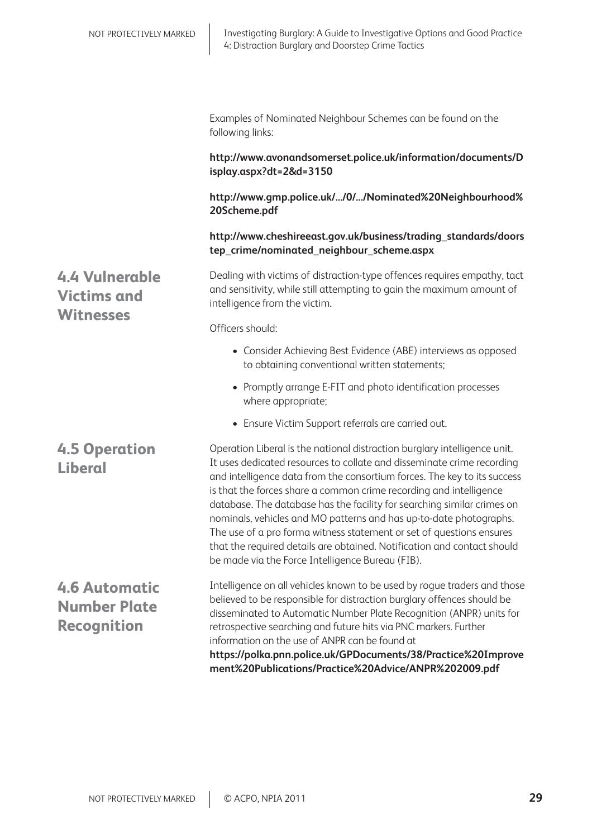<span id="page-28-0"></span>

|                                                                   | Examples of Nominated Neighbour Schemes can be found on the<br>following links:                                                                                                                                                                                                                                                                                                                                                                                                                                                                                                                                                                               |
|-------------------------------------------------------------------|---------------------------------------------------------------------------------------------------------------------------------------------------------------------------------------------------------------------------------------------------------------------------------------------------------------------------------------------------------------------------------------------------------------------------------------------------------------------------------------------------------------------------------------------------------------------------------------------------------------------------------------------------------------|
|                                                                   | http://www.avonandsomerset.police.uk/information/documents/D<br>isplay.aspx?dt=2&d=3150                                                                                                                                                                                                                                                                                                                                                                                                                                                                                                                                                                       |
|                                                                   | http://www.gmp.police.uk//0//Nominated%20Neighbourhood%<br>20Scheme.pdf                                                                                                                                                                                                                                                                                                                                                                                                                                                                                                                                                                                       |
|                                                                   | http://www.cheshireeast.gov.uk/business/trading_standards/doors<br>tep_crime/nominated_neighbour_scheme.aspx                                                                                                                                                                                                                                                                                                                                                                                                                                                                                                                                                  |
| <b>4.4 Vulnerable</b><br><b>Victims and</b>                       | Dealing with victims of distraction-type offences requires empathy, tact<br>and sensitivity, while still attempting to gain the maximum amount of<br>intelligence from the victim.                                                                                                                                                                                                                                                                                                                                                                                                                                                                            |
| <b>Witnesses</b>                                                  | Officers should:                                                                                                                                                                                                                                                                                                                                                                                                                                                                                                                                                                                                                                              |
|                                                                   | • Consider Achieving Best Evidence (ABE) interviews as opposed<br>to obtaining conventional written statements;                                                                                                                                                                                                                                                                                                                                                                                                                                                                                                                                               |
|                                                                   | • Promptly arrange E-FIT and photo identification processes<br>where appropriate;                                                                                                                                                                                                                                                                                                                                                                                                                                                                                                                                                                             |
|                                                                   | • Ensure Victim Support referrals are carried out.                                                                                                                                                                                                                                                                                                                                                                                                                                                                                                                                                                                                            |
| <b>4.5 Operation</b><br><b>Liberal</b>                            | Operation Liberal is the national distraction burglary intelligence unit.<br>It uses dedicated resources to collate and disseminate crime recording<br>and intelligence data from the consortium forces. The key to its success<br>is that the forces share a common crime recording and intelligence<br>database. The database has the facility for searching similar crimes on<br>nominals, vehicles and MO patterns and has up-to-date photographs.<br>The use of a pro forma witness statement or set of questions ensures<br>that the required details are obtained. Notification and contact should<br>be made via the Force Intelligence Bureau (FIB). |
| <b>4.6 Automatic</b><br><b>Number Plate</b><br><b>Recognition</b> | Intelligence on all vehicles known to be used by rogue traders and those<br>believed to be responsible for distraction burglary offences should be<br>disseminated to Automatic Number Plate Recognition (ANPR) units for<br>retrospective searching and future hits via PNC markers. Further<br>information on the use of ANPR can be found at<br>https://polka.pnn.police.uk/GPDocuments/38/Practice%20Improve<br>ment%20Publications/Practice%20Advice/ANPR%202009.pdf                                                                                                                                                                                     |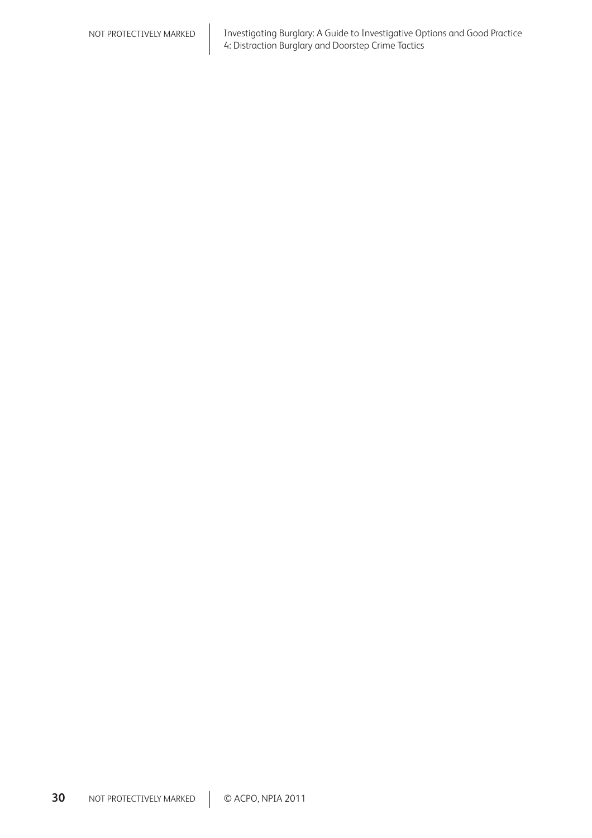**30** NOT PROTECTIVELY MARKED © ACPO, NPIA 2011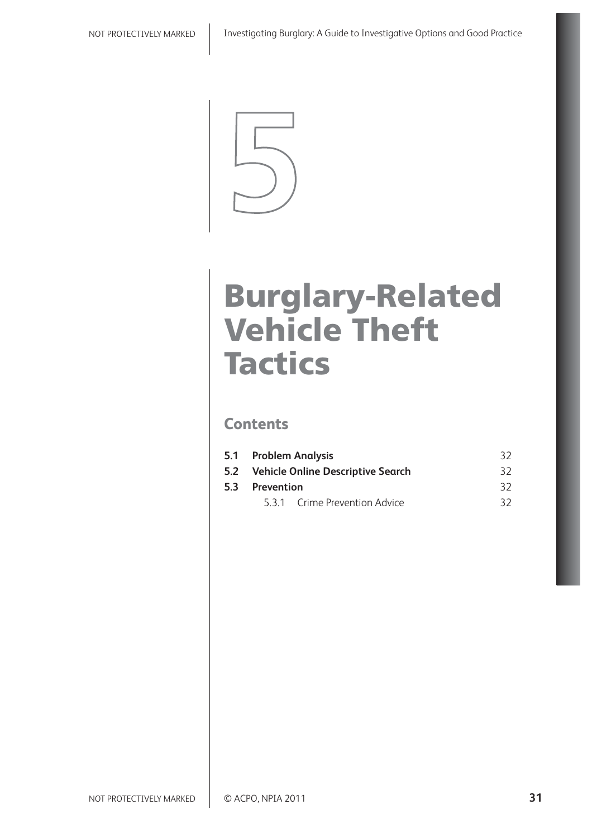<span id="page-30-0"></span>

# Burglary-Related Vehicle Theft **Tactics**

### **Contents**

| 5.1 Problem Analysis |                                       | 32 |
|----------------------|---------------------------------------|----|
|                      | 5.2 Vehicle Online Descriptive Search | 32 |
| 5.3 Prevention       |                                       | 32 |
|                      | 5.3.1 Crime Prevention Advice         | 32 |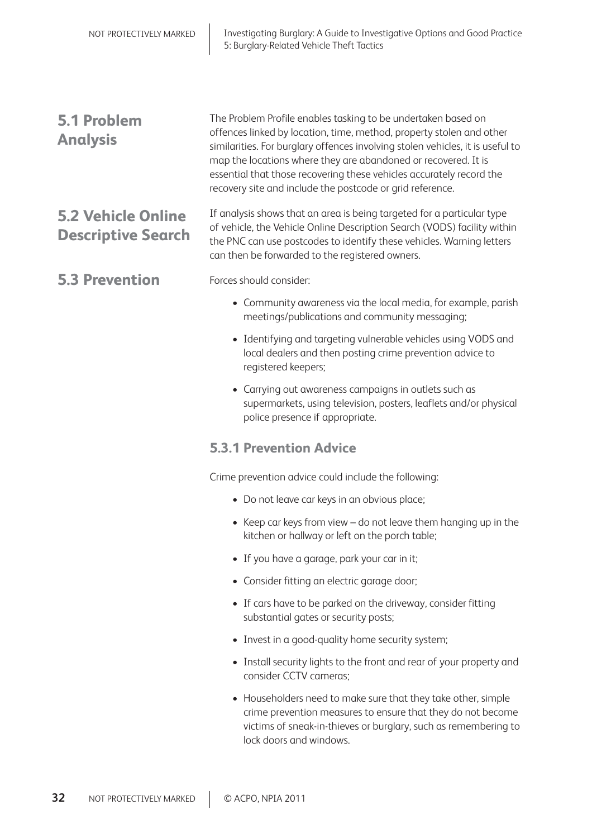### <span id="page-31-0"></span>**5.1 Problem Analysis**

The Problem Profile enables tasking to be undertaken based on offences linked by location, time, method, property stolen and other similarities. For burglary offences involving stolen vehicles, it is useful to map the locations where they are abandoned or recovered. It is essential that those recovering these vehicles accurately record the recovery site and include the postcode or grid reference.

**5.2 Vehicle Online Descriptive Search**

If analysis shows that an area is being targeted for a particular type of vehicle, the Vehicle Online Description Search (VODS) facility within the PNC can use postcodes to identify these vehicles. Warning letters can then be forwarded to the registered owners.

### **5.3 Prevention**

Forces should consider:

- Community awareness via the local media, for example, parish meetings/publications and community messaging;
- Identifying and targeting vulnerable vehicles using VODS and local dealers and then posting crime prevention advice to registered keepers;
- Carrying out awareness campaigns in outlets such as supermarkets, using television, posters, leaflets and/or physical police presence if appropriate.

### **5.3.1 Prevention Advice**

Crime prevention advice could include the following:

- Do not leave car keys in an obvious place;
- Keep car keys from view do not leave them hanging up in the kitchen or hallway or left on the porch table;
- If you have a garage, park your car in it;
- Consider fitting an electric garage door;
- If cars have to be parked on the driveway, consider fitting substantial gates or security posts;
- Invest in a good-quality home security system;
- Install security lights to the front and rear of your property and consider CCTV cameras;
- Householders need to make sure that they take other, simple crime prevention measures to ensure that they do not become victims of sneak-in-thieves or burglary, such as remembering to lock doors and windows.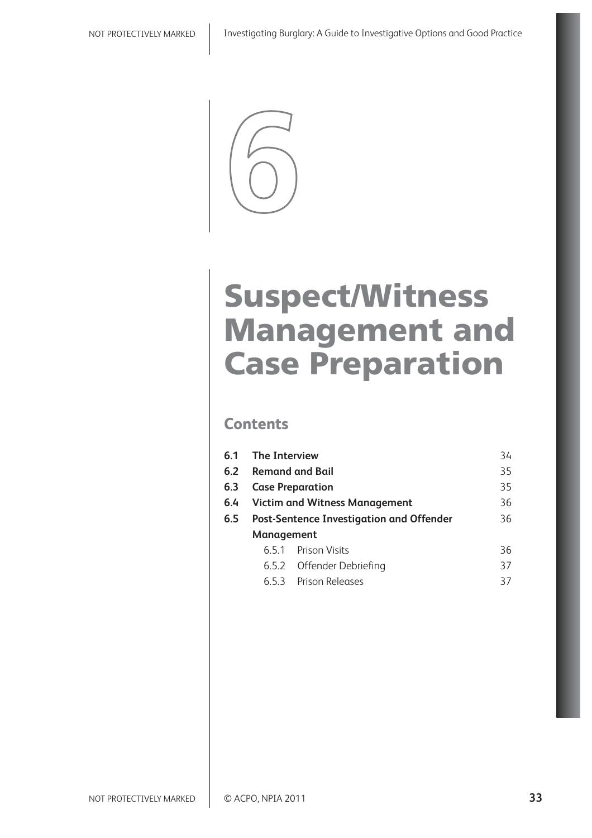<span id="page-32-0"></span>

# Suspect/Witness Management and Case Preparation

# **Contents**

|     | 6.1 The Interview                    |                                          | 34 |
|-----|--------------------------------------|------------------------------------------|----|
|     | 6.2 Remand and Bail                  |                                          | 35 |
| 6.3 |                                      | <b>Case Preparation</b>                  | 35 |
| 6.4 | <b>Victim and Witness Management</b> |                                          |    |
| 6.5 |                                      | Post-Sentence Investigation and Offender | 36 |
|     | Management                           |                                          |    |
|     |                                      | 6.5.1 Prison Visits                      | 36 |
|     |                                      | 6.5.2 Offender Debriefing                | 37 |
|     |                                      | 6.5.3 Prison Releases                    | 37 |
|     |                                      |                                          |    |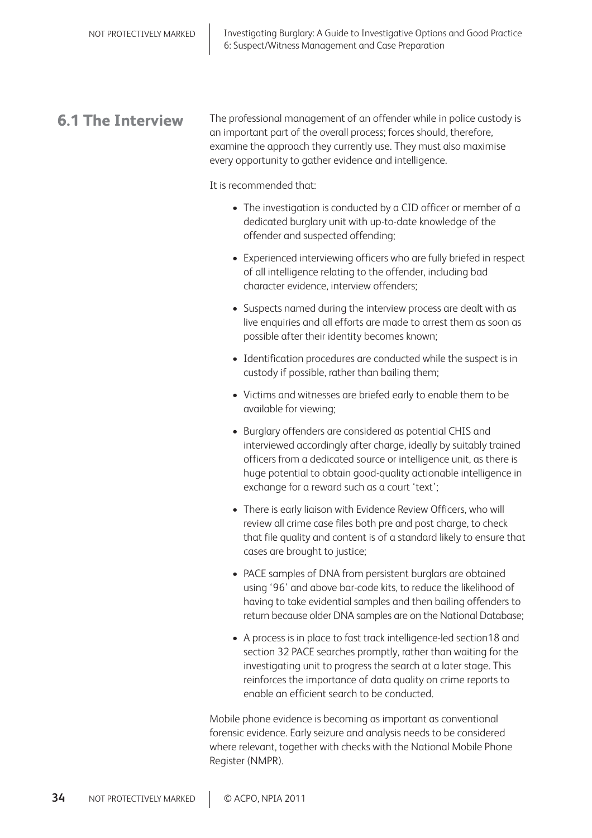### <span id="page-33-0"></span>**6.1 The Interview**

The professional management of an offender while in police custody is an important part of the overall process; forces should, therefore, examine the approach they currently use. They must also maximise every opportunity to gather evidence and intelligence.

It is recommended that:

- The investigation is conducted by a CID officer or member of a dedicated burglary unit with up-to-date knowledge of the offender and suspected offending;
- Experienced interviewing officers who are fully briefed in respect of all intelligence relating to the offender, including bad character evidence, interview offenders;
- Suspects named during the interview process are dealt with as live enquiries and all efforts are made to arrest them as soon as possible after their identity becomes known;
- Identification procedures are conducted while the suspect is in custody if possible, rather than bailing them;
- Victims and witnesses are briefed early to enable them to be available for viewing;
- Burglary offenders are considered as potential CHIS and interviewed accordingly after charge, ideally by suitably trained officers from a dedicated source or intelligence unit, as there is huge potential to obtain good-quality actionable intelligence in exchange for a reward such as a court 'text';
- There is early liaison with Evidence Review Officers, who will review all crime case files both pre and post charge, to check that file quality and content is of a standard likely to ensure that cases are brought to justice;
- PACE samples of DNA from persistent burglars are obtained using '96' and above bar-code kits, to reduce the likelihood of having to take evidential samples and then bailing offenders to return because older DNA samples are on the National Database;
- A process is in place to fast track intelligence-led section18 and section 32 PACE searches promptly, rather than waiting for the investigating unit to progress the search at a later stage. This reinforces the importance of data quality on crime reports to enable an efficient search to be conducted.

Mobile phone evidence is becoming as important as conventional forensic evidence. Early seizure and analysis needs to be considered where relevant, together with checks with the National Mobile Phone Register (NMPR).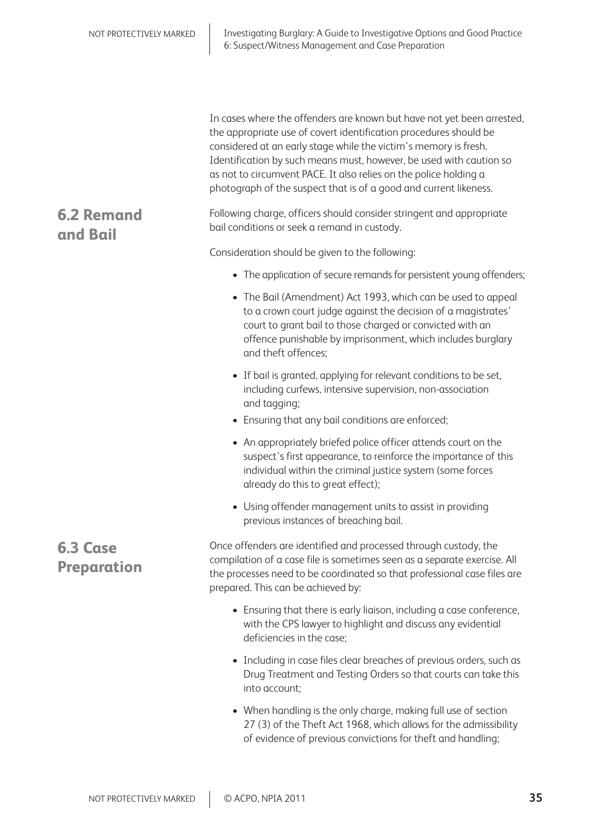| In cases where the offenders are known but have not yet been arrested, |
|------------------------------------------------------------------------|
| the appropriate use of covert identification procedures should be      |
| considered at an early stage while the victim's memory is fresh.       |
| Identification by such means must, however, be used with caution so    |
| as not to circumvent PACE. It also relies on the police holding a      |
| photograph of the suspect that is of a good and current likeness.      |

Following charge, officers should consider stringent and appropriate bail conditions or seek a remand in custody.

Consideration should be given to the following:

- The application of secure remands for persistent young offenders;
- The Bail (Amendment) Act 1993, which can be used to appeal to a crown court judge against the decision of a magistrates' court to grant bail to those charged or convicted with an offence punishable by imprisonment, which includes burglary and theft offences;
- If bail is granted, applying for relevant conditions to be set, including curfews, intensive supervision, non-association and tagging;
- Ensuring that any bail conditions are enforced;
- An appropriately briefed police officer attends court on the suspect's first appearance, to reinforce the importance of this individual within the criminal justice system (some forces already do this to great effect);
- Using offender management units to assist in providing previous instances of breaching bail.

Once offenders are identified and processed through custody, the compilation of a case file is sometimes seen as a separate exercise. All the processes need to be coordinated so that professional case files are prepared. This can be achieved by:

- Ensuring that there is early liaison, including a case conference, with the CPS lawyer to highlight and discuss any evidential deficiencies in the case;
- Including in case files clear breaches of previous orders, such as Drug Treatment and Testing Orders so that courts can take this into account;
- When handling is the only charge, making full use of section 27 (3) of the Theft Act 1968, which allows for the admissibility of evidence of previous convictions for theft and handling;

### **6.3 Case Preparation**

<span id="page-34-0"></span>**6.2 Remand** 

**and Bail**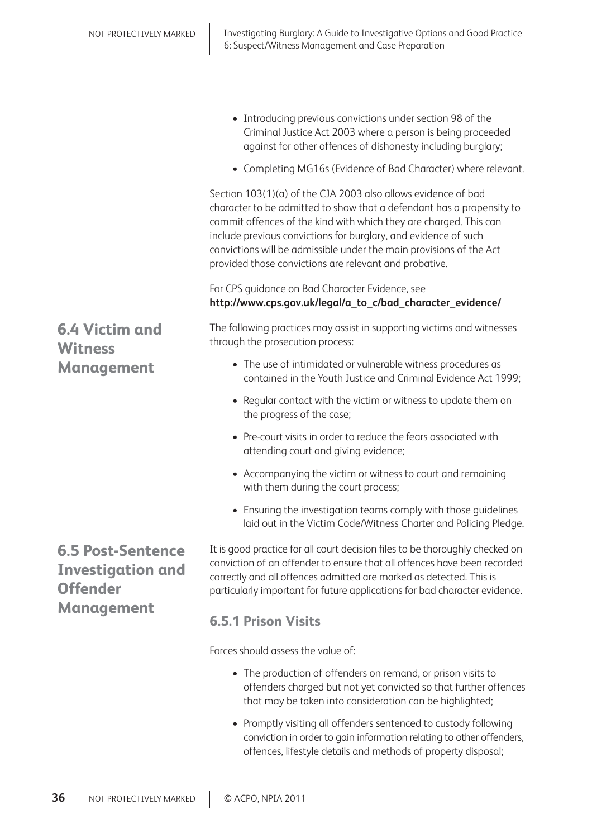<span id="page-35-0"></span>

|                                                                         | • Introducing previous convictions under section 98 of the<br>Criminal Justice Act 2003 where a person is being proceeded<br>against for other offences of dishonesty including burglary;                                                                                                                                                                                                                         |
|-------------------------------------------------------------------------|-------------------------------------------------------------------------------------------------------------------------------------------------------------------------------------------------------------------------------------------------------------------------------------------------------------------------------------------------------------------------------------------------------------------|
|                                                                         | • Completing MG16s (Evidence of Bad Character) where relevant.                                                                                                                                                                                                                                                                                                                                                    |
|                                                                         | Section $103(1)(a)$ of the CJA 2003 also allows evidence of bad<br>character to be admitted to show that a defendant has a propensity to<br>commit offences of the kind with which they are charged. This can<br>include previous convictions for burglary, and evidence of such<br>convictions will be admissible under the main provisions of the Act<br>provided those convictions are relevant and probative. |
|                                                                         | For CPS guidance on Bad Character Evidence, see<br>http://www.cps.gov.uk/legal/a_to_c/bad_character_evidence/                                                                                                                                                                                                                                                                                                     |
| <b>6.4 Victim and</b><br><b>Witness</b>                                 | The following practices may assist in supporting victims and witnesses<br>through the prosecution process:                                                                                                                                                                                                                                                                                                        |
| <b>Management</b>                                                       | • The use of intimidated or vulnerable witness procedures as<br>contained in the Youth Justice and Criminal Evidence Act 1999;                                                                                                                                                                                                                                                                                    |
|                                                                         | • Regular contact with the victim or witness to update them on<br>the progress of the case;                                                                                                                                                                                                                                                                                                                       |
|                                                                         | • Pre-court visits in order to reduce the fears associated with<br>attending court and giving evidence;                                                                                                                                                                                                                                                                                                           |
|                                                                         | • Accompanying the victim or witness to court and remaining<br>with them during the court process;                                                                                                                                                                                                                                                                                                                |
|                                                                         | • Ensuring the investigation teams comply with those guidelines<br>laid out in the Victim Code/Witness Charter and Policing Pledge.                                                                                                                                                                                                                                                                               |
| <b>6.5 Post-Sentence</b><br><b>Investigation and</b><br><b>Offender</b> | It is good practice for all court decision files to be thoroughly checked on<br>conviction of an offender to ensure that all offences have been recorded<br>correctly and all offences admitted are marked as detected. This is<br>particularly important for future applications for bad character evidence.                                                                                                     |
| Management                                                              | <b>6.5.1 Prison Visits</b>                                                                                                                                                                                                                                                                                                                                                                                        |
|                                                                         | Forces should assess the value of:                                                                                                                                                                                                                                                                                                                                                                                |
|                                                                         | • The production of offenders on remand, or prison visits to                                                                                                                                                                                                                                                                                                                                                      |

that may be taken into consideration can be highlighted; • Promptly visiting all offenders sentenced to custody following conviction in order to gain information relating to other offenders, offences, lifestyle details and methods of property disposal;

offenders charged but not yet convicted so that further offences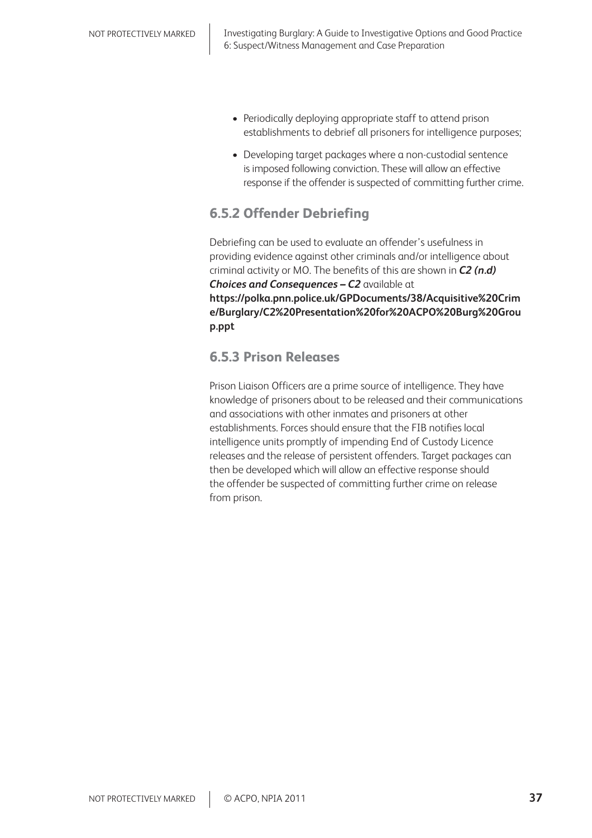- <span id="page-36-0"></span>• Periodically deploying appropriate staff to attend prison establishments to debrief all prisoners for intelligence purposes;
- Developing target packages where a non-custodial sentence is imposed following conviction. These will allow an effective response if the offender is suspected of committing further crime.

### **6.5.2 Offender Debriefing**

Debriefing can be used to evaluate an offender's usefulness in providing evidence against other criminals and/or intelligence about criminal activity or MO. The benefits of this are shown in *C2 (n.d) Choices and Consequences – C2* available at **https://polka.pnn.police.uk/GPDocuments/38/Acquisitive%20Crim [e/Burglary/C2%20Presentation%20for%20ACPO%20Burg%20Grou](https://polka.pnn.police.uk/GPDocuments/38/Acquisitive%20Crime/Burglary/C2%20Presentation%20for%20ACPO%20Burg%20Group.ppt) p.ppt**

### **6.5.3 Prison Releases**

Prison Liaison Officers are a prime source of intelligence. They have knowledge of prisoners about to be released and their communications and associations with other inmates and prisoners at other establishments. Forces should ensure that the FIB notifies local intelligence units promptly of impending End of Custody Licence releases and the release of persistent offenders. Target packages can then be developed which will allow an effective response should the offender be suspected of committing further crime on release from prison.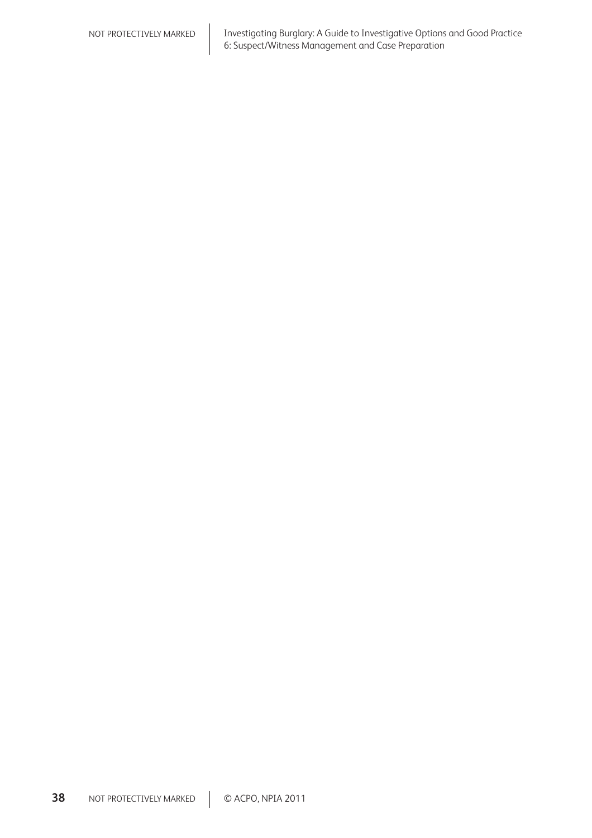**38** NOT PROTECTIVELY MARKED © ACPO, NPIA 2011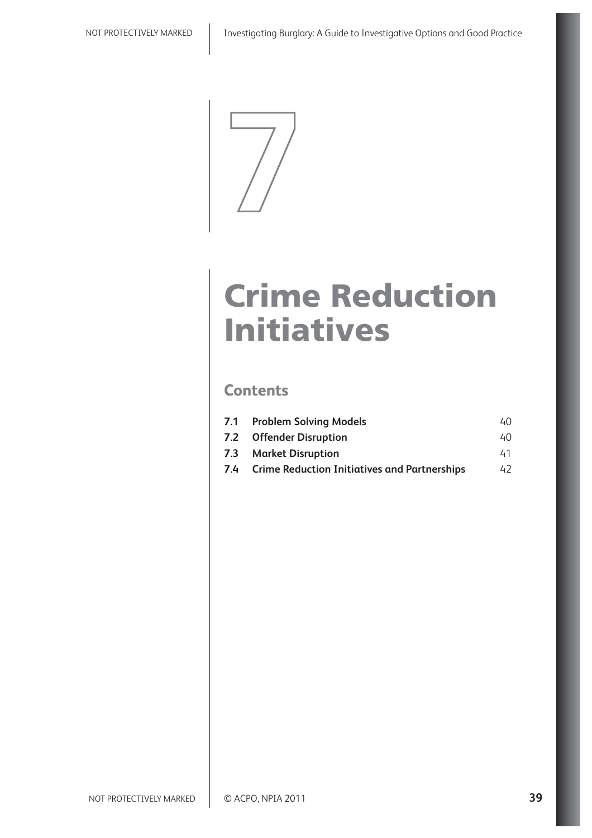<span id="page-38-0"></span>

# Crime Reduction Initiatives

# **Contents**

| 7.1 Problem Solving Models | 40. |
|----------------------------|-----|
| 7.2 Offender Disruption    | 40  |
| 7.3 Market Disruption      | 41  |
|                            |     |

**[7.4 Crime Reduction Initiatives and Partnerships](#page-41-0)** 42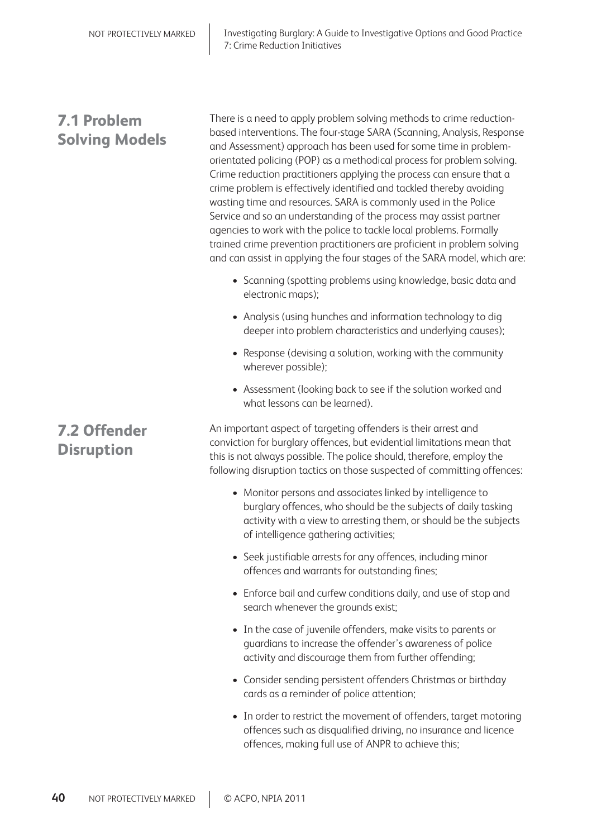# <span id="page-39-0"></span>**7.1 Problem Solving Models**

There is a need to apply problem solving methods to crime reductionbased interventions. The four-stage SARA (Scanning, Analysis, Response and Assessment) approach has been used for some time in problemorientated policing (POP) as a methodical process for problem solving. Crime reduction practitioners applying the process can ensure that a crime problem is effectively identified and tackled thereby avoiding wasting time and resources. SARA is commonly used in the Police Service and so an understanding of the process may assist partner agencies to work with the police to tackle local problems. Formally trained crime prevention practitioners are proficient in problem solving and can assist in applying the four stages of the SARA model, which are:

- Scanning (spotting problems using knowledge, basic data and electronic maps);
- Analysis (using hunches and information technology to dig deeper into problem characteristics and underlying causes);
- Response (devising a solution, working with the community wherever possible);
- Assessment (looking back to see if the solution worked and what lessons can be learned).

An important aspect of targeting offenders is their arrest and conviction for burglary offences, but evidential limitations mean that this is not always possible. The police should, therefore, employ the following disruption tactics on those suspected of committing offences:

- Monitor persons and associates linked by intelligence to burglary offences, who should be the subjects of daily tasking activity with a view to arresting them, or should be the subjects of intelligence gathering activities;
- Seek justifiable arrests for any offences, including minor offences and warrants for outstanding fines;
- Enforce bail and curfew conditions daily, and use of stop and search whenever the grounds exist;
- In the case of juvenile offenders, make visits to parents or guardians to increase the offender's awareness of police activity and discourage them from further offending;
- Consider sending persistent offenders Christmas or birthday cards as a reminder of police attention;
- In order to restrict the movement of offenders, target motoring offences such as disqualified driving, no insurance and licence offences, making full use of ANPR to achieve this;

# **7.2 Offender Disruption**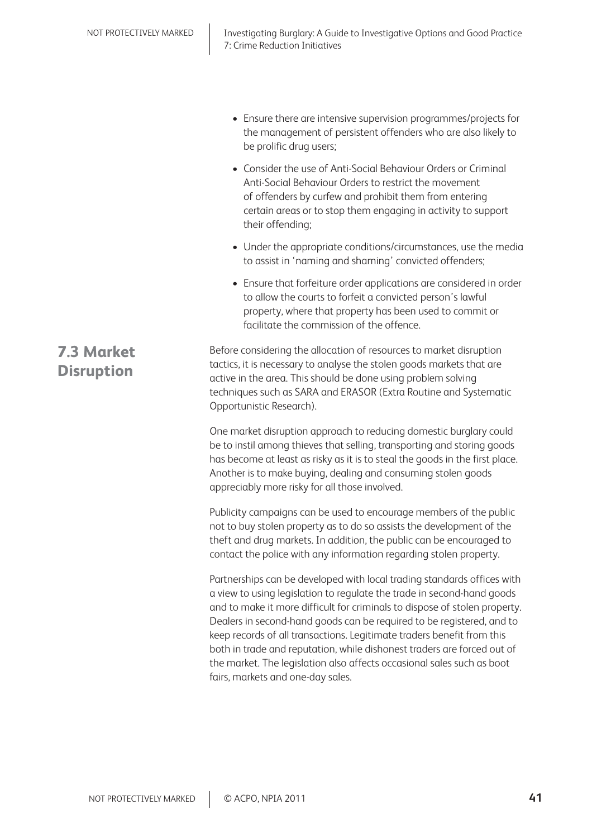<span id="page-40-0"></span>

| • Ensure there are intensive supervision programmes/projects for |
|------------------------------------------------------------------|
| the management of persistent offenders who are also likely to    |
| be prolific drug users;                                          |

- Consider the use of Anti-Social Behaviour Orders or Criminal Anti-Social Behaviour Orders to restrict the movement of offenders by curfew and prohibit them from entering certain areas or to stop them engaging in activity to support their offending;
- Under the appropriate conditions/circumstances, use the media to assist in 'naming and shaming' convicted offenders;
- Ensure that forfeiture order applications are considered in order to allow the courts to forfeit a convicted person's lawful property, where that property has been used to commit or facilitate the commission of the offence.

Before considering the allocation of resources to market disruption tactics, it is necessary to analyse the stolen goods markets that are active in the area. This should be done using problem solving techniques such as SARA and ERASOR (Extra Routine and Systematic Opportunistic Research). **7.3 Market Disruption**

> One market disruption approach to reducing domestic burglary could be to instil among thieves that selling, transporting and storing goods has become at least as risky as it is to steal the goods in the first place. Another is to make buying, dealing and consuming stolen goods appreciably more risky for all those involved.

> Publicity campaigns can be used to encourage members of the public not to buy stolen property as to do so assists the development of the theft and drug markets. In addition, the public can be encouraged to contact the police with any information regarding stolen property.

Partnerships can be developed with local trading standards offices with a view to using legislation to regulate the trade in second-hand goods and to make it more difficult for criminals to dispose of stolen property. Dealers in second-hand goods can be required to be registered, and to keep records of all transactions. Legitimate traders benefit from this both in trade and reputation, while dishonest traders are forced out of the market. The legislation also affects occasional sales such as boot fairs, markets and one-day sales.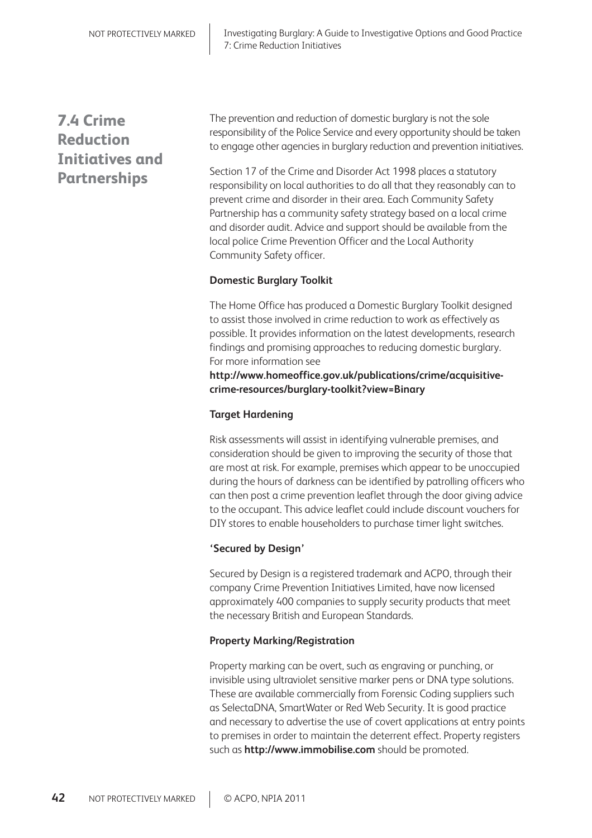# <span id="page-41-0"></span>**7.4 Crime Reduction Initiatives and Partnerships**

The prevention and reduction of domestic burglary is not the sole responsibility of the Police Service and every opportunity should be taken to engage other agencies in burglary reduction and prevention initiatives.

Section 17 of the Crime and Disorder Act 1998 places a statutory responsibility on local authorities to do all that they reasonably can to prevent crime and disorder in their area. Each Community Safety Partnership has a community safety strategy based on a local crime and disorder audit. Advice and support should be available from the local police Crime Prevention Officer and the Local Authority Community Safety officer.

### **Domestic Burglary Toolkit**

The Home Office has produced a Domestic Burglary Toolkit designed to assist those involved in crime reduction to work as effectively as possible. It provides information on the latest developments, research findings and promising approaches to reducing domestic burglary. For more information see

**[http://www.homeoffice.gov.uk/publications/crime/acquisitive](http://www.homeoffice.gov.uk/publications/crime/acquisitive-crime-resources/burglary-toolkit?view=Binary)crime-resources/burglary-toolkit?view=Binary**

### **Target Hardening**

Risk assessments will assist in identifying vulnerable premises, and consideration should be given to improving the security of those that are most at risk. For example, premises which appear to be unoccupied during the hours of darkness can be identified by patrolling officers who can then post a crime prevention leaflet through the door giving advice to the occupant. This advice leaflet could include discount vouchers for DIY stores to enable householders to purchase timer light switches.

### **'Secured by Design'**

Secured by Design is a registered trademark and ACPO, through their company Crime Prevention Initiatives Limited, have now licensed approximately 400 companies to supply security products that meet the necessary British and European Standards.

### **Property Marking/Registration**

Property marking can be overt, such as engraving or punching, or invisible using ultraviolet sensitive marker pens or DNA type solutions. These are available commercially from Forensic Coding suppliers such as SelectaDNA, SmartWater or Red Web Security. It is good practice and necessary to advertise the use of covert applications at entry points to premises in order to maintain the deterrent effect. Property registers such as **<http://www.immobilise.com>** should be promoted.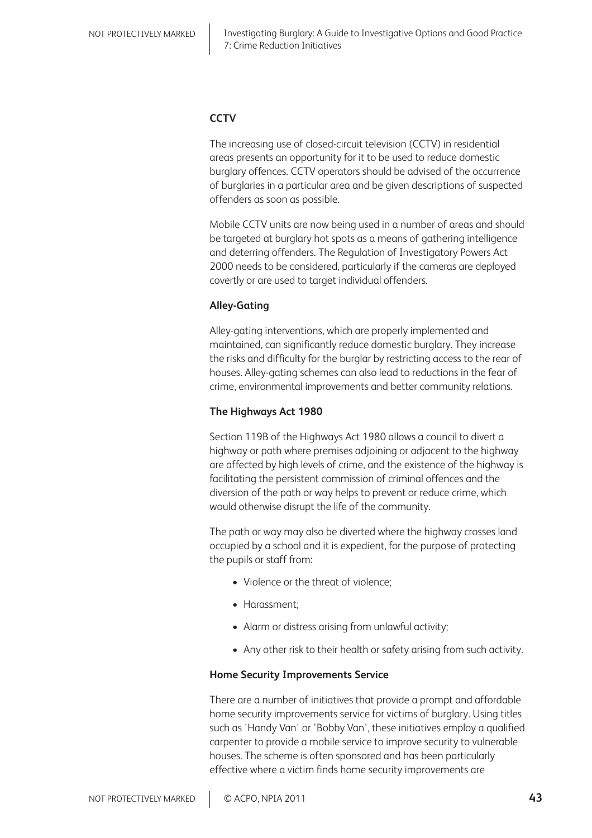### **CCTV**

The increasing use of closed-circuit television (CCTV) in residential areas presents an opportunity for it to be used to reduce domestic burglary offences. CCTV operators should be advised of the occurrence of burglaries in a particular area and be given descriptions of suspected offenders as soon as possible.

Mobile CCTV units are now being used in a number of areas and should be targeted at burglary hot spots as a means of gathering intelligence and deterring offenders. The Regulation of Investigatory Powers Act 2000 needs to be considered, particularly if the cameras are deployed covertly or are used to target individual offenders.

### **Alley-Gating**

Alley-gating interventions, which are properly implemented and maintained, can significantly reduce domestic burglary. They increase the risks and difficulty for the burglar by restricting access to the rear of houses. Alley-gating schemes can also lead to reductions in the fear of crime, environmental improvements and better community relations.

### **The Highways Act 1980**

Section 119B of the Highways Act 1980 allows a council to divert a highway or path where premises adjoining or adjacent to the highway are affected by high levels of crime, and the existence of the highway is facilitating the persistent commission of criminal offences and the diversion of the path or way helps to prevent or reduce crime, which would otherwise disrupt the life of the community.

The path or way may also be diverted where the highway crosses land occupied by a school and it is expedient, for the purpose of protecting the pupils or staff from:

- Violence or the threat of violence:
- Harassment;
- Alarm or distress arising from unlawful activity;
- Any other risk to their health or safety arising from such activity.

#### **Home Security Improvements Service**

There are a number of initiatives that provide a prompt and affordable home security improvements service for victims of burglary. Using titles such as 'Handy Van' or 'Bobby Van', these initiatives employ a qualified carpenter to provide a mobile service to improve security to vulnerable houses. The scheme is often sponsored and has been particularly effective where a victim finds home security improvements are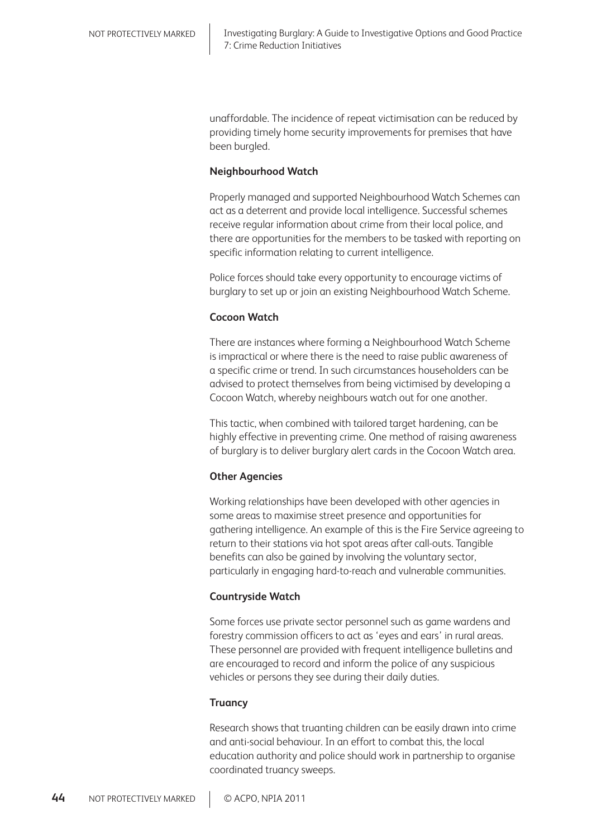unaffordable. The incidence of repeat victimisation can be reduced by providing timely home security improvements for premises that have been burgled.

### **Neighbourhood Watch**

Properly managed and supported Neighbourhood Watch Schemes can act as a deterrent and provide local intelligence. Successful schemes receive regular information about crime from their local police, and there are opportunities for the members to be tasked with reporting on specific information relating to current intelligence.

Police forces should take every opportunity to encourage victims of burglary to set up or join an existing Neighbourhood Watch Scheme.

### **Cocoon Watch**

There are instances where forming a Neighbourhood Watch Scheme is impractical or where there is the need to raise public awareness of a specific crime or trend. In such circumstances householders can be advised to protect themselves from being victimised by developing a Cocoon Watch, whereby neighbours watch out for one another.

This tactic, when combined with tailored target hardening, can be highly effective in preventing crime. One method of raising awareness of burglary is to deliver burglary alert cards in the Cocoon Watch area.

### **Other Agencies**

Working relationships have been developed with other agencies in some areas to maximise street presence and opportunities for gathering intelligence. An example of this is the Fire Service agreeing to return to their stations via hot spot areas after call-outs. Tangible benefits can also be gained by involving the voluntary sector, particularly in engaging hard-to-reach and vulnerable communities.

#### **Countryside Watch**

Some forces use private sector personnel such as game wardens and forestry commission officers to act as 'eyes and ears' in rural areas. These personnel are provided with frequent intelligence bulletins and are encouraged to record and inform the police of any suspicious vehicles or persons they see during their daily duties.

#### **Truancy**

Research shows that truanting children can be easily drawn into crime and anti-social behaviour. In an effort to combat this, the local education authority and police should work in partnership to organise coordinated truancy sweeps.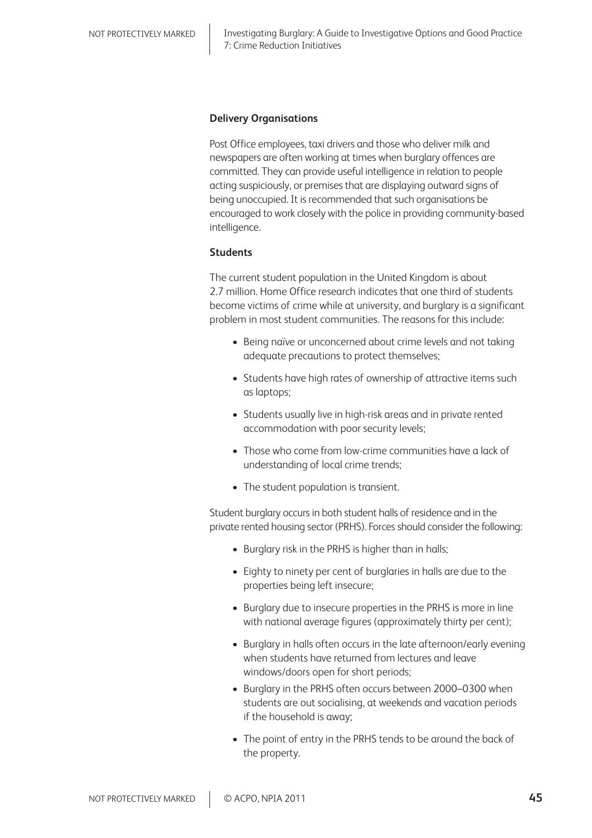### **Delivery Organisations**

Post Office employees, taxi drivers and those who deliver milk and newspapers are often working at times when burglary offences are committed. They can provide useful intelligence in relation to people acting suspiciously, or premises that are displaying outward signs of being unoccupied. It is recommended that such organisations be encouraged to work closely with the police in providing community-based intelligence.

### **Students**

The current student population in the United Kingdom is about 2.7 million. Home Office research indicates that one third of students become victims of crime while at university, and burglary is a significant problem in most student communities. The reasons for this include:

- Being naïve or unconcerned about crime levels and not taking adequate precautions to protect themselves;
- Students have high rates of ownership of attractive items such as laptops;
- Students usually live in high-risk areas and in private rented accommodation with poor security levels;
- Those who come from low-crime communities have a lack of understanding of local crime trends;
- The student population is transient.

Student burglary occurs in both student halls of residence and in the private rented housing sector (PRHS). Forces should consider the following:

- Burglary risk in the PRHS is higher than in halls;
- Eighty to ninety per cent of burglaries in halls are due to the properties being left insecure;
- Burglary due to insecure properties in the PRHS is more in line with national average figures (approximately thirty per cent);
- Burglary in halls often occurs in the late afternoon/early evening when students have returned from lectures and leave windows/doors open for short periods;
- Burglary in the PRHS often occurs between 2000–0300 when students are out socialising, at weekends and vacation periods if the household is away;
- The point of entry in the PRHS tends to be around the back of the property.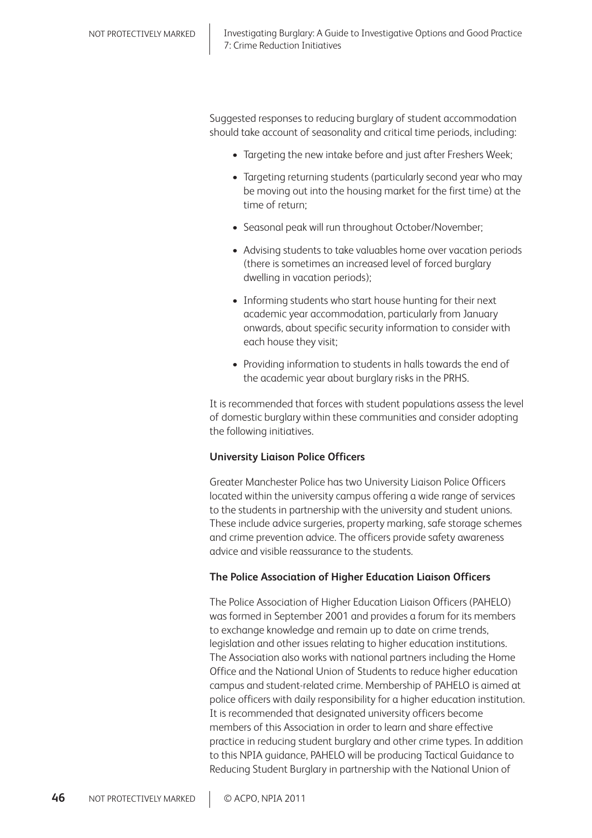Suggested responses to reducing burglary of student accommodation should take account of seasonality and critical time periods, including:

- Targeting the new intake before and just after Freshers Week;
- Targeting returning students (particularly second year who may be moving out into the housing market for the first time) at the time of return;
- Seasonal peak will run throughout October/November;
- Advising students to take valuables home over vacation periods (there is sometimes an increased level of forced burglary dwelling in vacation periods);
- Informing students who start house hunting for their next academic year accommodation, particularly from January onwards, about specific security information to consider with each house they visit;
- Providing information to students in halls towards the end of the academic year about burglary risks in the PRHS.

It is recommended that forces with student populations assess the level of domestic burglary within these communities and consider adopting the following initiatives.

#### **University Liaison Police Officers**

Greater Manchester Police has two University Liaison Police Officers located within the university campus offering a wide range of services to the students in partnership with the university and student unions. These include advice surgeries, property marking, safe storage schemes and crime prevention advice. The officers provide safety awareness advice and visible reassurance to the students.

#### **The Police Association of Higher Education Liaison Officers**

The Police Association of Higher Education Liaison Officers (PAHELO) was formed in September 2001 and provides a forum for its members to exchange knowledge and remain up to date on crime trends, legislation and other issues relating to higher education institutions. The Association also works with national partners including the Home Office and the National Union of Students to reduce higher education campus and student-related crime. Membership of PAHELO is aimed at police officers with daily responsibility for a higher education institution. It is recommended that designated university officers become members of this Association in order to learn and share effective practice in reducing student burglary and other crime types. In addition to this NPIA guidance, PAHELO will be producing Tactical Guidance to Reducing Student Burglary in partnership with the National Union of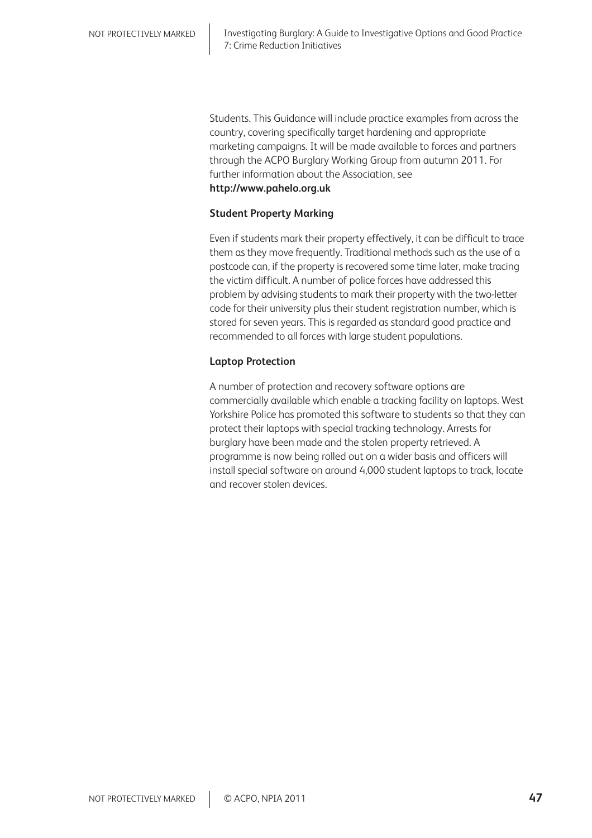Students. This Guidance will include practice examples from across the country, covering specifically target hardening and appropriate marketing campaigns. It will be made available to forces and partners through the ACPO Burglary Working Group from autumn 2011. For further information about the Association, see **<http://www.pahelo.org.uk>**

### **Student Property Marking**

Even if students mark their property effectively, it can be difficult to trace them as they move frequently. Traditional methods such as the use of a postcode can, if the property is recovered some time later, make tracing the victim difficult. A number of police forces have addressed this problem by advising students to mark their property with the two-letter code for their university plus their student registration number, which is stored for seven years. This is regarded as standard good practice and recommended to all forces with large student populations.

### **Laptop Protection**

A number of protection and recovery software options are commercially available which enable a tracking facility on laptops. West Yorkshire Police has promoted this software to students so that they can protect their laptops with special tracking technology. Arrests for burglary have been made and the stolen property retrieved. A programme is now being rolled out on a wider basis and officers will install special software on around 4,000 student laptops to track, locate and recover stolen devices.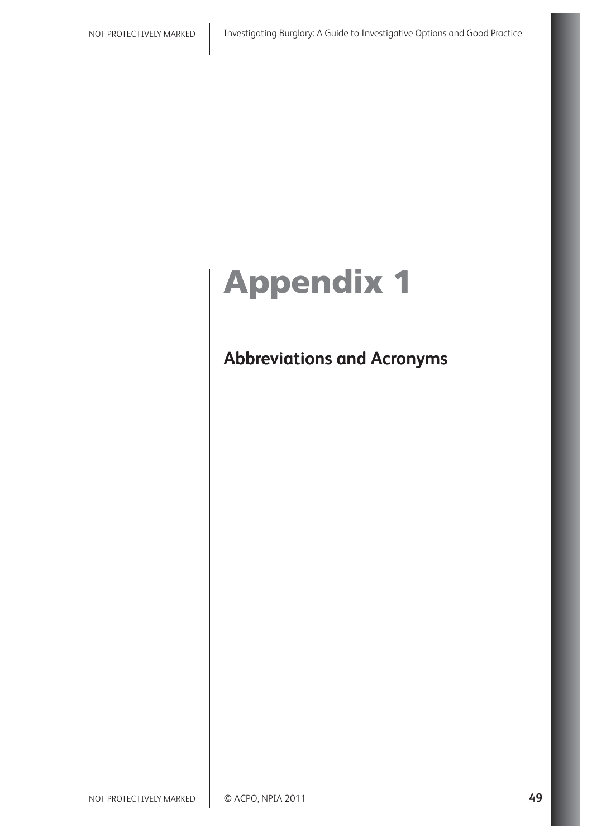# <span id="page-48-0"></span>Appendix 1

# **Abbreviations and Acronyms Acronyms**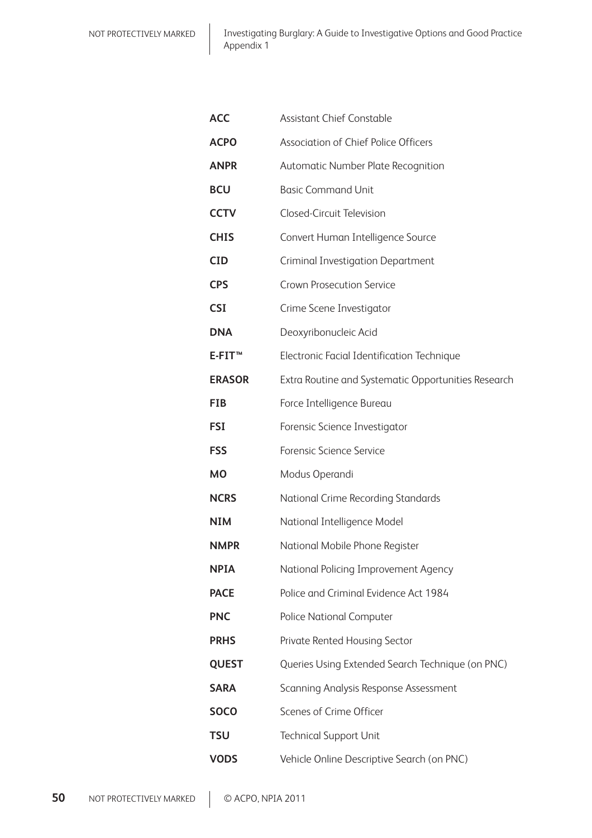| <b>ACC</b>         | <b>Assistant Chief Constable</b>                    |
|--------------------|-----------------------------------------------------|
| <b>ACPO</b>        | Association of Chief Police Officers                |
| <b>ANPR</b>        | Automatic Number Plate Recognition                  |
| <b>BCU</b>         | <b>Basic Command Unit</b>                           |
| <b>CCTV</b>        | Closed-Circuit Television                           |
| <b>CHIS</b>        | Convert Human Intelligence Source                   |
| <b>CID</b>         | Criminal Investigation Department                   |
| <b>CPS</b>         | <b>Crown Prosecution Service</b>                    |
| <b>CSI</b>         | Crime Scene Investigator                            |
| <b>DNA</b>         | Deoxyribonucleic Acid                               |
| E-FIT <sup>™</sup> | Electronic Facial Identification Technique          |
| <b>ERASOR</b>      | Extra Routine and Systematic Opportunities Research |
| FIB                | Force Intelligence Bureau                           |
| <b>FSI</b>         | Forensic Science Investigator                       |
| <b>FSS</b>         | Forensic Science Service                            |
| <b>MO</b>          | Modus Operandi                                      |
| <b>NCRS</b>        | National Crime Recording Standards                  |
| <b>NIM</b>         | National Intelligence Model                         |
| <b>NMPR</b>        | National Mobile Phone Register                      |
| <b>NPIA</b>        | National Policing Improvement Agency                |
| <b>PACE</b>        | Police and Criminal Evidence Act 1984               |
| <b>PNC</b>         | <b>Police National Computer</b>                     |
| <b>PRHS</b>        | Private Rented Housing Sector                       |
| <b>QUEST</b>       | Queries Using Extended Search Technique (on PNC)    |
| <b>SARA</b>        | Scanning Analysis Response Assessment               |
| <b>SOCO</b>        | Scenes of Crime Officer                             |
| <b>TSU</b>         | <b>Technical Support Unit</b>                       |
| <b>VODS</b>        | Vehicle Online Descriptive Search (on PNC)          |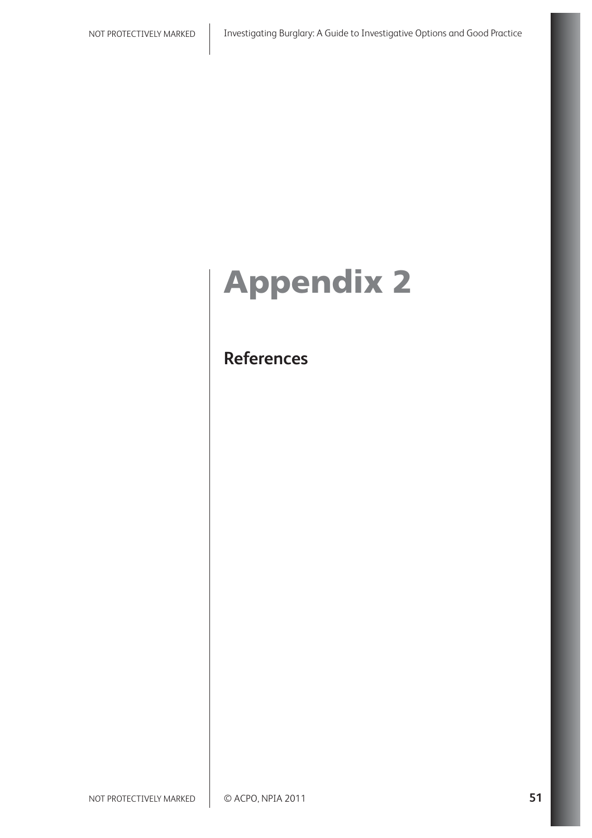# <span id="page-50-0"></span>Appendix 2

**References**